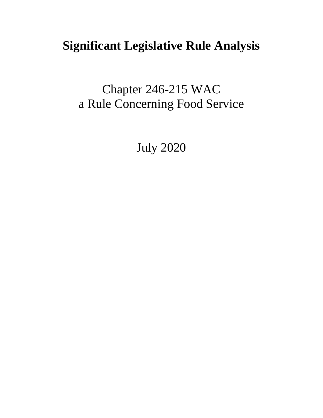# **Significant Legislative Rule Analysis**

Chapter 246-215 WAC a Rule Concerning Food Service

July 2020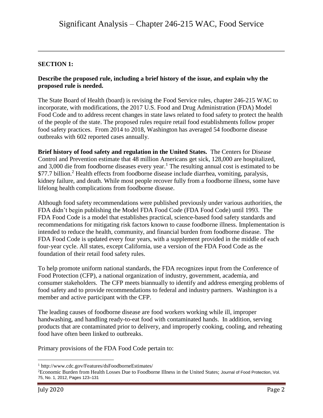### **SECTION 1:**

#### **Describe the proposed rule, including a brief history of the issue, and explain why the proposed rule is needed.**

The State Board of Health (board) is revising the Food Service rules, chapter 246-215 WAC to incorporate, with modifications, the 2017 U.S. Food and Drug Administration (FDA) Model Food Code and to address recent changes in state laws related to food safety to protect the health of the people of the state. The proposed rules require retail food establishments follow proper food safety practices. From 2014 to 2018, Washington has averaged 54 foodborne disease outbreaks with 602 reported cases annually.

**Brief history of food safety and regulation in the United States.** The Centers for Disease Control and Prevention estimate that 48 million Americans get sick, 128,000 are hospitalized, and 3,000 die from foodborne diseases every year.<sup>1</sup> The resulting annual cost is estimated to be \$77.7 billion.<sup>2</sup> Health effects from foodborne disease include diarrhea, vomiting, paralysis, kidney failure, and death. While most people recover fully from a foodborne illness, some have lifelong health complications from foodborne disease.

Although food safety recommendations were published previously under various authorities, the FDA didn't begin publishing the Model FDA Food Code (FDA Food Code) until 1993. The FDA Food Code is a model that establishes practical, science-based food safety standards and recommendations for mitigating risk factors known to cause foodborne illness. Implementation is intended to reduce the health, community, and financial burden from foodborne disease. The FDA Food Code is updated every four years, with a supplement provided in the middle of each four-year cycle. All states, except California, use a version of the FDA Food Code as the foundation of their retail food safety rules.

To help promote uniform national standards, the FDA recognizes input from the Conference of Food Protection (CFP), a national organization of industry, government, academia, and consumer stakeholders. The CFP meets biannually to identify and address emerging problems of food safety and to provide recommendations to federal and industry partners. Washington is a member and active participant with the CFP.

The leading causes of foodborne disease are food workers working while ill, improper handwashing, and handling ready-to-eat food with contaminated hands. In addition, serving products that are contaminated prior to delivery, and improperly cooking, cooling, and reheating food have often been linked to outbreaks.

Primary provisions of the FDA Food Code pertain to:

 $\overline{a}$ 

<sup>1</sup> http://www.cdc.gov/Features/dsFoodborneEstimates/

<sup>2</sup>Economic Burden from Health Losses Due to Foodborne Illness in the United States; Journal of Food Protection, Vol. 75, No. 1, 2012, Pages 123–131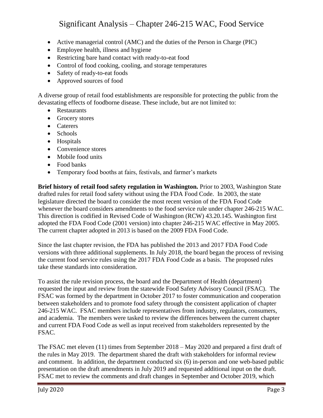- Active managerial control (AMC) and the duties of the Person in Charge (PIC)
- Employee health, illness and hygiene
- Restricting bare hand contact with ready-to-eat food
- Control of food cooking, cooling, and storage temperatures
- Safety of ready-to-eat foods
- Approved sources of food

A diverse group of retail food establishments are responsible for protecting the public from the devastating effects of foodborne disease. These include, but are not limited to:

- Restaurants
- Grocery stores
- Caterers
- Schools
- Hospitals
- Convenience stores
- Mobile food units
- Food banks
- Temporary food booths at fairs, festivals, and farmer's markets

**Brief history of retail food safety regulation in Washington.** Prior to 2003, Washington State drafted rules for retail food safety without using the FDA Food Code. In 2003, the state legislature directed the board to consider the most recent version of the FDA Food Code whenever the board considers amendments to the food service rule under chapter 246-215 WAC. This direction is codified in Revised Code of Washington (RCW) 43.20.145. Washington first adopted the FDA Food Code (2001 version) into chapter 246-215 WAC effective in May 2005. The current chapter adopted in 2013 is based on the 2009 FDA Food Code.

Since the last chapter revision, the FDA has published the 2013 and 2017 FDA Food Code versions with three additional supplements. In July 2018, the board began the process of revising the current food service rules using the 2017 FDA Food Code as a basis. The proposed rules take these standards into consideration.

To assist the rule revision process, the board and the Department of Health (department) requested the input and review from the statewide Food Safety Advisory Council (FSAC). The FSAC was formed by the department in October 2017 to foster communication and cooperation between stakeholders and to promote food safety through the consistent application of chapter 246-215 WAC. FSAC members include representatives from industry, regulators, consumers, and academia. The members were tasked to review the differences between the current chapter and current FDA Food Code as well as input received from stakeholders represented by the FSAC.

The FSAC met eleven (11) times from September 2018 – May 2020 and prepared a first draft of the rules in May 2019. The department shared the draft with stakeholders for informal review and comment. In addition, the department conducted six (6) in-person and one web-based public presentation on the draft amendments in July 2019 and requested additional input on the draft. FSAC met to review the comments and draft changes in September and October 2019, which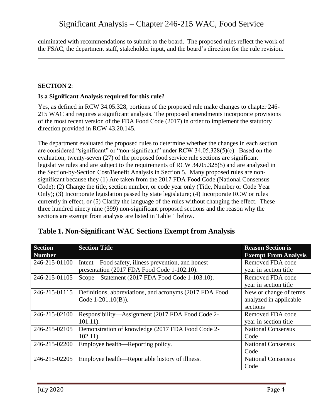culminated with recommendations to submit to the board. The proposed rules reflect the work of the FSAC, the department staff, stakeholder input, and the board's direction for the rule revision.

#### **SECTION 2**:

#### **Is a Significant Analysis required for this rule?**

Yes, as defined in RCW 34.05.328, portions of the proposed rule make changes to chapter 246- 215 WAC and requires a significant analysis. The proposed amendments incorporate provisions of the most recent version of the FDA Food Code (2017) in order to implement the statutory direction provided in RCW 43.20.145.

The department evaluated the proposed rules to determine whether the changes in each section are considered "significant" or "non-significant" under RCW 34.05.328(5)(c). Based on the evaluation, twenty-seven (27) of the proposed food service rule sections are significant legislative rules and are subject to the requirements of RCW 34.05.328(5) and are analyzed in the Section-by-Section Cost/Benefit Analysis in Section 5. Many proposed rules are nonsignificant because they (1) Are taken from the 2017 FDA Food Code (National Consensus Code); (2) Change the title, section number, or code year only (Title, Number or Code Year Only); (3) Incorporate legislation passed by state legislature; (4) Incorporate RCW or rules currently in effect, or (5) Clarify the language of the rules without changing the effect. These three hundred ninety nine (399) non-significant proposed sections and the reason why the sections are exempt from analysis are listed in Table 1 below.

| <b>Section</b> | <b>Section Title</b>                                    | <b>Reason Section is</b>    |
|----------------|---------------------------------------------------------|-----------------------------|
| <b>Number</b>  |                                                         | <b>Exempt From Analysis</b> |
| 246-215-01100  | Intent—Food safety, illness prevention, and honest      | Removed FDA code            |
|                | presentation (2017 FDA Food Code 1-102.10).             | year in section title       |
| 246-215-01105  | Scope—Statement (2017 FDA Food Code 1-103.10).          | Removed FDA code            |
|                |                                                         | year in section title       |
| 246-215-01115  | Definitions, abbreviations, and acronyms (2017 FDA Food | New or change of terms      |
|                | Code $1-201.10(B)$ ).                                   | analyzed in applicable      |
|                |                                                         | sections                    |
| 246-215-02100  | Responsibility—Assignment (2017 FDA Food Code 2-        | Removed FDA code            |
|                | $101.11$ ).                                             | year in section title       |
| 246-215-02105  | Demonstration of knowledge (2017 FDA Food Code 2-       | <b>National Consensus</b>   |
|                | $102.11$ ).                                             | Code                        |
| 246-215-02200  | Employee health—Reporting policy.                       | <b>National Consensus</b>   |
|                |                                                         | Code                        |
| 246-215-02205  | Employee health—Reportable history of illness.          | <b>National Consensus</b>   |
|                |                                                         | Code                        |

### **Table 1. Non-Significant WAC Sections Exempt from Analysis**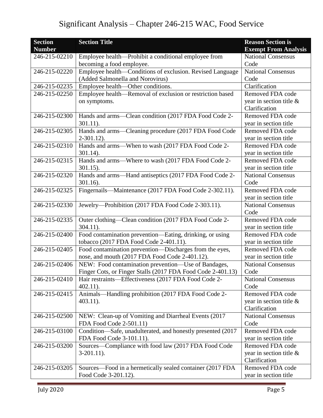| <b>Section</b><br><b>Number</b> | <b>Section Title</b>                                        | <b>Reason Section is</b><br><b>Exempt From Analysis</b> |
|---------------------------------|-------------------------------------------------------------|---------------------------------------------------------|
| 246-215-02210                   | Employee health—Prohibit a conditional employee from        | <b>National Consensus</b>                               |
|                                 | becoming a food employee.                                   | Code                                                    |
| 246-215-02220                   | Employee health—Conditions of exclusion. Revised Language   | <b>National Consensus</b>                               |
|                                 | (Added Salmonella and Norovirus)                            | Code                                                    |
| 246-215-02235                   | Employee health—Other conditions.                           | Clarification                                           |
| 246-215-02250                   | Employee health—Removal of exclusion or restriction based   | Removed FDA code                                        |
|                                 | on symptoms.                                                | year in section title $\&$                              |
|                                 |                                                             | Clarification                                           |
| 246-215-02300                   | Hands and arms—Clean condition (2017 FDA Food Code 2-       | Removed FDA code                                        |
|                                 | $301.11$ ).                                                 | year in section title                                   |
| 246-215-02305                   | Hands and arms-Cleaning procedure (2017 FDA Food Code       | Removed FDA code                                        |
|                                 | $2-301.12$ ).                                               | year in section title                                   |
| 246-215-02310                   | Hands and arms-When to wash (2017 FDA Food Code 2-          | Removed FDA code                                        |
|                                 | $301.14$ ).                                                 | year in section title                                   |
| 246-215-02315                   | Hands and arms—Where to wash (2017 FDA Food Code 2-         | Removed FDA code                                        |
|                                 | $301.15$ ).                                                 | year in section title                                   |
| 246-215-02320                   | Hands and arms-Hand antiseptics (2017 FDA Food Code 2-      | <b>National Consensus</b>                               |
|                                 | 301.16).                                                    | Code                                                    |
| 246-215-02325                   | Fingernails—Maintenance (2017 FDA Food Code 2-302.11).      | Removed FDA code                                        |
|                                 |                                                             | year in section title                                   |
| 246-215-02330                   | Jewelry-Prohibition (2017 FDA Food Code 2-303.11).          | <b>National Consensus</b>                               |
|                                 |                                                             | Code                                                    |
| 246-215-02335                   | Outer clothing—Clean condition (2017 FDA Food Code 2-       | Removed FDA code                                        |
|                                 | $304.11$ ).                                                 | year in section title                                   |
| 246-215-02400                   | Food contamination prevention—Eating, drinking, or using    | Removed FDA code                                        |
|                                 | tobacco (2017 FDA Food Code 2-401.11).                      | year in section title                                   |
| 246-215-02405                   | Food contamination prevention—Discharges from the eyes,     | Removed FDA code                                        |
|                                 | nose, and mouth (2017 FDA Food Code 2-401.12).              | year in section title                                   |
| 246-215-02406                   | NEW: Food contamination prevention-Use of Bandages,         | <b>National Consensus</b>                               |
|                                 | Finger Cots, or Finger Stalls (2017 FDA Food Code 2-401.13) | Code                                                    |
| 246-215-02410                   | Hair restraints—Effectiveness (2017 FDA Food Code 2-        | <b>National Consensus</b>                               |
|                                 | $402.11$ ).                                                 | Code                                                    |
| 246-215-02415                   | Animals—Handling prohibition (2017 FDA Food Code 2-         | Removed FDA code                                        |
|                                 | $403.11$ ).                                                 | year in section title $\&$                              |
|                                 |                                                             | Clarification                                           |
| 246-215-02500                   | NEW: Clean-up of Vomiting and Diarrheal Events (2017)       | <b>National Consensus</b>                               |
|                                 | FDA Food Code 2-501.11)                                     | Code                                                    |
| 246-215-03100                   | Condition-Safe, unadulterated, and honestly presented (2017 | Removed FDA code                                        |
|                                 | FDA Food Code 3-101.11).                                    | year in section title                                   |
| 246-215-03200                   | Sources—Compliance with food law (2017 FDA Food Code        | Removed FDA code                                        |
|                                 | $3-201.11$ .                                                | year in section title $\&$                              |
|                                 |                                                             | Clarification                                           |
| 246-215-03205                   | Sources—Food in a hermetically sealed container (2017 FDA   | Removed FDA code                                        |
|                                 | Food Code 3-201.12).                                        | year in section title                                   |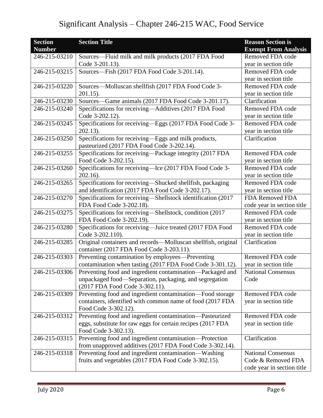| <b>Section</b><br><b>Number</b> | <b>Section Title</b>                                          | <b>Reason Section is</b><br><b>Exempt From Analysis</b> |
|---------------------------------|---------------------------------------------------------------|---------------------------------------------------------|
| 246-215-03210                   | Sources—Fluid milk and milk products (2017 FDA Food           | Removed FDA code                                        |
|                                 | Code 3-201.13).                                               | year in section title                                   |
| 246-215-03215                   | Sources-Fish (2017 FDA Food Code 3-201.14).                   | Removed FDA code                                        |
|                                 |                                                               | year in section title                                   |
| 246-215-03220                   | Sources-Molluscan shellfish (2017 FDA Food Code 3-            | Removed FDA code                                        |
|                                 | $201.15$ ).                                                   | year in section title                                   |
| 246-215-03230                   | Sources—Game animals (2017 FDA Food Code 3-201.17).           | Clarification                                           |
| 246-215-03240                   | Specifications for receiving-Additives (2017 FDA Food         | Removed FDA code                                        |
|                                 | Code 3-202.12).                                               | year in section title                                   |
| 246-215-03245                   | Specifications for receiving-Eggs (2017 FDA Food Code 3-      | Removed FDA code                                        |
|                                 | 202.13).                                                      | year in section title                                   |
| 246-215-03250                   | Specifications for receiving-Eggs and milk products,          | Clarification                                           |
|                                 | pasteurized (2017 FDA Food Code 3-202.14).                    |                                                         |
| 246-215-03255                   | Specifications for receiving-Package integrity (2017 FDA      | Removed FDA code                                        |
|                                 | Food Code 3-202.15).                                          | year in section title                                   |
| 246-215-03260                   | Specifications for receiving-Ice (2017 FDA Food Code 3-       | Removed FDA code                                        |
|                                 | $202.16$ ).                                                   | year in section title                                   |
| 246-215-03265                   | Specifications for receiving-Shucked shellfish, packaging     | Removed FDA code                                        |
|                                 | and identification (2017 FDA Food Code 3-202.17).             | year in section title                                   |
| 246-215-03270                   | Specifications for receiving-Shellstock identification (2017  | FDA Removed FDA                                         |
|                                 | FDA Food Code 3-202.18).                                      | code year in section title                              |
| 246-215-03275                   | Specifications for receiving-Shellstock, condition (2017)     | Removed FDA code                                        |
|                                 | FDA Food Code 3-202.19).                                      | year in section title                                   |
| 246-215-03280                   | Specifications for receiving-Juice treated (2017 FDA Food     | Removed FDA code                                        |
|                                 | Code 3-202.110).                                              | year in section title                                   |
| 246-215-03285                   | Original containers and records-Molluscan shellfish, original | Clarification                                           |
|                                 | container (2017 FDA Food Code 3-203.11).                      |                                                         |
| 246-215-03303                   | Preventing contamination by employees—Preventing              | Removed FDA code                                        |
|                                 | contamination when tasting (2017 FDA Food Code 3-301.12).     | year in section title                                   |
| 246-215-03306                   | Preventing food and ingredient contamination—Packaged and     | <b>National Consensus</b>                               |
|                                 | unpackaged food-Separation, packaging, and segregation        | Code                                                    |
|                                 | (2017 FDA Food Code 3-302.11).                                |                                                         |
| 246-215-03309                   | Preventing food and ingredient contamination-Food storage     | Removed FDA code                                        |
|                                 | containers, identified with common name of food (2017 FDA     | year in section title                                   |
|                                 | Food Code 3-302.12).                                          |                                                         |
| 246-215-03312                   | Preventing food and ingredient contamination—Pasteurized      | Removed FDA code                                        |
|                                 | eggs, substitute for raw eggs for certain recipes (2017 FDA   | year in section title                                   |
|                                 | Food Code 3-302.13).                                          |                                                         |
| 246-215-03315                   | Preventing food and ingredient contamination-Protection       | Clarification                                           |
|                                 | from unapproved additives (2017 FDA Food Code 3-302.14).      |                                                         |
| 246-215-03318                   | Preventing food and ingredient contamination—Washing          | <b>National Consensus</b><br>Code & Removed FDA         |
|                                 | fruits and vegetables (2017 FDA Food Code 3-302.15).          |                                                         |
|                                 |                                                               | code year in section title                              |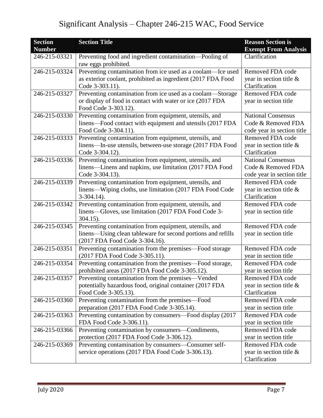| <b>Section</b><br><b>Number</b> | <b>Section Title</b>                                                                                                                                     | <b>Reason Section is</b><br><b>Exempt From Analysis</b>                       |
|---------------------------------|----------------------------------------------------------------------------------------------------------------------------------------------------------|-------------------------------------------------------------------------------|
| 246-215-03321                   | Preventing food and ingredient contamination-Pooling of<br>raw eggs prohibited.                                                                          | Clarification                                                                 |
| 246-215-03324                   | Preventing contamination from ice used as a coolant-lce used<br>as exterior coolant, prohibited as ingredient (2017 FDA Food<br>Code 3-303.11).          | Removed FDA code<br>year in section title &<br>Clarification                  |
| 246-215-03327                   | Preventing contamination from ice used as a coolant-Storage<br>or display of food in contact with water or ice (2017 FDA<br>Food Code 3-303.12).         | Removed FDA code<br>year in section title                                     |
| 246-215-03330                   | Preventing contamination from equipment, utensils, and<br>linens—Food contact with equipment and utensils (2017 FDA<br>Food Code 3-304.11).              | <b>National Consensus</b><br>Code & Removed FDA<br>code year in section title |
| 246-215-03333                   | Preventing contamination from equipment, utensils, and<br>linens—In-use utensils, between-use storage (2017 FDA Food<br>Code 3-304.12).                  | Removed FDA code<br>year in section title &<br>Clarification                  |
| 246-215-03336                   | Preventing contamination from equipment, utensils, and<br>linens—Linens and napkins, use limitation (2017 FDA Food<br>Code 3-304.13).                    | <b>National Consensus</b><br>Code & Removed FDA<br>code year in section title |
| 246-215-03339                   | Preventing contamination from equipment, utensils, and<br>linens—Wiping cloths, use limitation (2017 FDA Food Code<br>$3-304.14$ .                       | Removed FDA code<br>year in section title $\&$<br>Clarification               |
| 246-215-03342                   | Preventing contamination from equipment, utensils, and<br>linens—Gloves, use limitation (2017 FDA Food Code 3-<br>$304.15$ ).                            | Removed FDA code<br>year in section title                                     |
| 246-215-03345                   | Preventing contamination from equipment, utensils, and<br>linens-Using clean tableware for second portions and refills<br>(2017 FDA Food Code 3-304.16). | Removed FDA code<br>year in section title                                     |
| 246-215-03351                   | Preventing contamination from the premises—Food storage<br>(2017 FDA Food Code 3-305.11).                                                                | Removed FDA code<br>year in section title                                     |
| 246-215-03354                   | Preventing contamination from the premises—Food storage,<br>prohibited areas (2017 FDA Food Code 3-305.12).                                              | Removed FDA code<br>year in section title                                     |
| 246-215-03357                   | Preventing contamination from the premises—Vended<br>potentially hazardous food, original container (2017 FDA<br>Food Code 3-305.13).                    | Removed FDA code<br>year in section title &<br>Clarification                  |
| 246-215-03360                   | Preventing contamination from the premises—Food<br>preparation (2017 FDA Food Code 3-305.14).                                                            | Removed FDA code<br>year in section title                                     |
| 246-215-03363                   | Preventing contamination by consumers—Food display (2017)<br>FDA Food Code 3-306.11).                                                                    | Removed FDA code<br>year in section title                                     |
| 246-215-03366                   | Preventing contamination by consumers—Condiments,<br>protection (2017 FDA Food Code 3-306.12).                                                           | Removed FDA code<br>year in section title                                     |
| 246-215-03369                   | Preventing contamination by consumers-Consumer self-<br>service operations (2017 FDA Food Code 3-306.13).                                                | Removed FDA code<br>year in section title &<br>Clarification                  |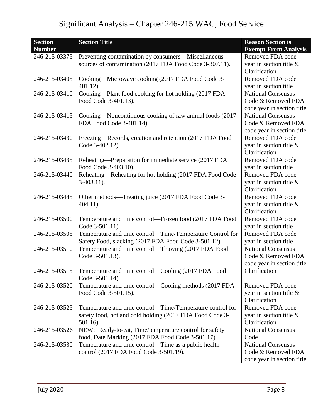| <b>Section</b><br><b>Number</b> | <b>Section Title</b>                                                   | <b>Reason Section is</b><br><b>Exempt From Analysis</b> |
|---------------------------------|------------------------------------------------------------------------|---------------------------------------------------------|
| 246-215-03375                   | Preventing contamination by consumers—Miscellaneous                    | Removed FDA code                                        |
|                                 | sources of contamination (2017 FDA Food Code 3-307.11).                | year in section title $\&$                              |
|                                 |                                                                        | Clarification                                           |
| 246-215-03405                   | Cooking—Microwave cooking (2017 FDA Food Code 3-                       | Removed FDA code                                        |
|                                 | $401.12$ ).                                                            | year in section title                                   |
| 246-215-03410                   | Cooking-Plant food cooking for hot holding (2017 FDA                   | <b>National Consensus</b>                               |
|                                 | Food Code 3-401.13).                                                   | Code & Removed FDA                                      |
|                                 |                                                                        | code year in section title                              |
| 246-215-03415                   | Cooking-Noncontinuous cooking of raw animal foods (2017                | <b>National Consensus</b>                               |
|                                 | FDA Food Code 3-401.14).                                               | Code & Removed FDA                                      |
|                                 |                                                                        | code year in section title                              |
| 246-215-03430                   | Freezing-Records, creation and retention (2017 FDA Food                | Removed FDA code                                        |
|                                 | Code 3-402.12).                                                        | year in section title &                                 |
|                                 |                                                                        | Clarification                                           |
| 246-215-03435                   | Reheating-Preparation for immediate service (2017 FDA                  | Removed FDA code                                        |
|                                 | Food Code 3-403.10).                                                   | year in section title                                   |
| 246-215-03440                   | Reheating-Reheating for hot holding (2017 FDA Food Code                | Removed FDA code                                        |
|                                 | $3-403.11$ .                                                           | year in section title $\&$                              |
|                                 |                                                                        | Clarification                                           |
| 246-215-03445                   | Other methods—Treating juice (2017 FDA Food Code 3-                    | Removed FDA code                                        |
|                                 | $404.11$ ).                                                            | year in section title $\&$                              |
|                                 |                                                                        | Clarification                                           |
| 246-215-03500                   | Temperature and time control-Frozen food (2017 FDA Food                | Removed FDA code                                        |
|                                 | Code 3-501.11).                                                        | year in section title                                   |
| 246-215-03505                   | Temperature and time control-Time/Temperature Control for              | Removed FDA code                                        |
|                                 | Safety Food, slacking (2017 FDA Food Code 3-501.12).                   | year in section title                                   |
| 246-215-03510                   | Temperature and time control—Thawing (2017 FDA Food                    | <b>National Consensus</b>                               |
|                                 | Code 3-501.13).                                                        | Code & Removed FDA                                      |
|                                 |                                                                        | code year in section title                              |
| 246-215-03515                   | Temperature and time control—Cooling (2017 FDA Food<br>Code 3-501.14). | Clarification                                           |
| 246-215-03520                   | Temperature and time control—Cooling methods (2017 FDA                 | Removed FDA code                                        |
|                                 | Food Code 3-501.15).                                                   | year in section title $\&$                              |
|                                 |                                                                        | Clarification                                           |
| 246-215-03525                   | Temperature and time control—Time/Temperature control for              | Removed FDA code                                        |
|                                 | safety food, hot and cold holding (2017 FDA Food Code 3-               | year in section title $\&$                              |
|                                 | $501.16$ ).                                                            | Clarification                                           |
| 246-215-03526                   | NEW: Ready-to-eat, Time/temperature control for safety                 | <b>National Consensus</b>                               |
|                                 | food, Date Marking (2017 FDA Food Code 3-501.17)                       | Code                                                    |
| 246-215-03530                   | Temperature and time control—Time as a public health                   | <b>National Consensus</b>                               |
|                                 | control (2017 FDA Food Code 3-501.19).                                 | Code & Removed FDA                                      |
|                                 |                                                                        | code year in section title                              |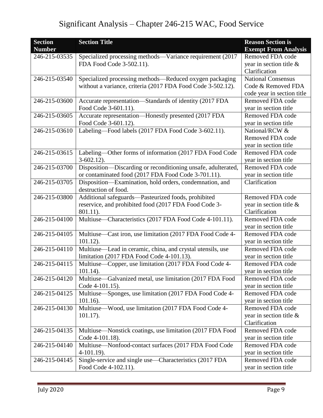| <b>Section</b> | <b>Section Title</b>                                          | <b>Reason Section is</b>    |
|----------------|---------------------------------------------------------------|-----------------------------|
| <b>Number</b>  |                                                               | <b>Exempt From Analysis</b> |
| 246-215-03535  | Specialized processing methods-Variance requirement (2017     | Removed FDA code            |
|                | FDA Food Code 3-502.11).                                      | year in section title $\&$  |
|                |                                                               | Clarification               |
| 246-215-03540  | Specialized processing methods—Reduced oxygen packaging       | <b>National Consensus</b>   |
|                | without a variance, criteria (2017 FDA Food Code 3-502.12).   | Code & Removed FDA          |
|                |                                                               | code year in section title  |
| 246-215-03600  | Accurate representation-Standards of identity (2017 FDA       | Removed FDA code            |
|                | Food Code 3-601.11).                                          | year in section title       |
| 246-215-03605  | Accurate representation-Honestly presented (2017 FDA          | Removed FDA code            |
|                | Food Code 3-601.12).                                          | year in section title       |
| 246-215-03610  | Labeling-Food labels (2017 FDA Food Code 3-602.11).           | National/RCW &              |
|                |                                                               | Removed FDA code            |
|                |                                                               | year in section title       |
| 246-215-03615  | Labeling-Other forms of information (2017 FDA Food Code       | Removed FDA code            |
|                | $3-602.12$ ).                                                 | year in section title       |
| 246-215-03700  | Disposition-Discarding or reconditioning unsafe, adulterated, | Removed FDA code            |
|                | or contaminated food (2017 FDA Food Code 3-701.11).           | year in section title       |
| 246-215-03705  | Disposition-Examination, hold orders, condemnation, and       | Clarification               |
|                | destruction of food.                                          |                             |
| 246-215-03800  | Additional safeguards-Pasteurized foods, prohibited           | Removed FDA code            |
|                | reservice, and prohibited food (2017 FDA Food Code 3-         | year in section title $\&$  |
|                | 801.11).                                                      | Clarification               |
| 246-215-04100  | Multiuse—Characteristics (2017 FDA Food Code 4-101.11).       | Removed FDA code            |
|                |                                                               | year in section title       |
| 246-215-04105  | Multiuse—Cast iron, use limitation (2017 FDA Food Code 4-     | Removed FDA code            |
|                | $101.12$ ).                                                   | year in section title       |
| 246-215-04110  | Multiuse—Lead in ceramic, china, and crystal utensils, use    | Removed FDA code            |
|                | limitation (2017 FDA Food Code 4-101.13).                     | year in section title       |
| 246-215-04115  | Multiuse—Copper, use limitation (2017 FDA Food Code 4-        | Removed FDA code            |
|                | $101.14$ ).                                                   | year in section title       |
| 246-215-04120  | Multiuse—Galvanized metal, use limitation (2017 FDA Food      | Removed FDA code            |
|                | Code 4-101.15).                                               | year in section title       |
| 246-215-04125  | Multiuse—Sponges, use limitation (2017 FDA Food Code 4-       | Removed FDA code            |
|                | $101.16$ ).                                                   | year in section title       |
| 246-215-04130  | Multiuse—Wood, use limitation (2017 FDA Food Code 4-          | Removed FDA code            |
|                | $101.17$ ).                                                   | year in section title $\&$  |
|                |                                                               | Clarification               |
| 246-215-04135  | Multiuse-Nonstick coatings, use limitation (2017 FDA Food     | Removed FDA code            |
|                | Code 4-101.18).                                               | year in section title       |
| 246-215-04140  | Multiuse-Nonfood-contact surfaces (2017 FDA Food Code         | Removed FDA code            |
|                | $4-101.19$ .                                                  | year in section title       |
| 246-215-04145  | Single-service and single use—Characteristics (2017 FDA       | Removed FDA code            |
|                | Food Code 4-102.11).                                          | year in section title       |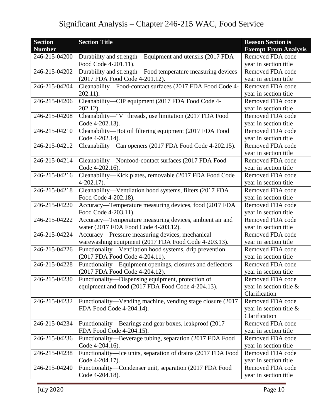| <b>Section</b> | <b>Section Title</b>                                         | <b>Reason Section is</b>    |
|----------------|--------------------------------------------------------------|-----------------------------|
| <b>Number</b>  |                                                              | <b>Exempt From Analysis</b> |
| 246-215-04200  | Durability and strength—Equipment and utensils (2017 FDA     | Removed FDA code            |
|                | Food Code 4-201.11).                                         | year in section title       |
| 246-215-04202  | Durability and strength-Food temperature measuring devices   | Removed FDA code            |
|                | (2017 FDA Food Code 4-201.12).                               | year in section title       |
| 246-215-04204  | Cleanability-Food-contact surfaces (2017 FDA Food Code 4-    | Removed FDA code            |
|                | $202.11$ ).                                                  | year in section title       |
| 246-215-04206  | Cleanability-CIP equipment (2017 FDA Food Code 4-            | Removed FDA code            |
|                | $202.12$ ).                                                  | year in section title       |
| 246-215-04208  | Cleanability-"V" threads, use limitation (2017 FDA Food      | Removed FDA code            |
|                | Code 4-202.13).                                              | year in section title       |
| 246-215-04210  | Cleanability-Hot oil filtering equipment (2017 FDA Food      | Removed FDA code            |
|                | Code 4-202.14).                                              | year in section title       |
| 246-215-04212  | Cleanability—Can openers (2017 FDA Food Code 4-202.15).      | Removed FDA code            |
|                |                                                              | year in section title       |
| 246-215-04214  | Cleanability-Nonfood-contact surfaces (2017 FDA Food         | Removed FDA code            |
|                | Code 4-202.16).                                              | year in section title       |
| 246-215-04216  | Cleanability-Kick plates, removable (2017 FDA Food Code      | Removed FDA code            |
|                | $4-202.17$ ).                                                | year in section title       |
| 246-215-04218  | Cleanability-Ventilation hood systems, filters (2017 FDA     | Removed FDA code            |
|                | Food Code 4-202.18).                                         | year in section title       |
| 246-215-04220  | Accuracy—Temperature measuring devices, food (2017 FDA       | Removed FDA code            |
|                | Food Code 4-203.11).                                         | year in section title       |
| 246-215-04222  | Accuracy-Temperature measuring devices, ambient air and      | Removed FDA code            |
|                | water (2017 FDA Food Code 4-203.12).                         | year in section title       |
| 246-215-04224  | Accuracy-Pressure measuring devices, mechanical              | Removed FDA code            |
|                | warewashing equipment (2017 FDA Food Code 4-203.13).         | year in section title       |
| 246-215-04226  | Functionality—Ventilation hood systems, drip prevention      | Removed FDA code            |
|                | (2017 FDA Food Code 4-204.11).                               | year in section title       |
| 246-215-04228  | Functionality-Equipment openings, closures and deflectors    | Removed FDA code            |
|                | (2017 FDA Food Code 4-204.12).                               | year in section title       |
| 246-215-04230  |                                                              |                             |
|                | Functionality—Dispensing equipment, protection of            | Removed FDA code            |
|                | equipment and food (2017 FDA Food Code 4-204.13).            | year in section title &     |
|                |                                                              | Clarification               |
| 246-215-04232  | Functionality—Vending machine, vending stage closure (2017)  | Removed FDA code            |
|                | FDA Food Code 4-204.14).                                     | year in section title $\&$  |
|                |                                                              | Clarification               |
| 246-215-04234  | Functionality—Bearings and gear boxes, leakproof (2017)      | Removed FDA code            |
|                | FDA Food Code 4-204.15).                                     | year in section title       |
| 246-215-04236  | Functionality-Beverage tubing, separation (2017 FDA Food     | Removed FDA code            |
|                | Code 4-204.16).                                              | year in section title       |
| 246-215-04238  | Functionality—Ice units, separation of drains (2017 FDA Food | Removed FDA code            |
|                | Code 4-204.17).                                              | year in section title       |
| 246-215-04240  | Functionality-Condenser unit, separation (2017 FDA Food      | Removed FDA code            |
|                | Code 4-204.18).                                              | year in section title       |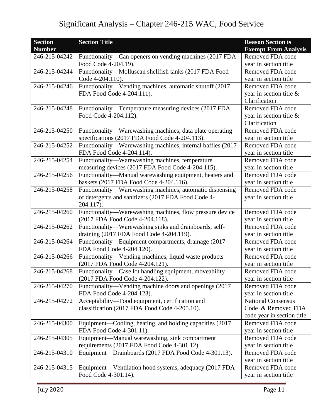| <b>Section</b> | <b>Section Title</b>                                       | <b>Reason Section is</b>    |
|----------------|------------------------------------------------------------|-----------------------------|
| <b>Number</b>  |                                                            | <b>Exempt From Analysis</b> |
| 246-215-04242  | Functionality—Can openers on vending machines (2017 FDA    | Removed FDA code            |
|                | Food Code 4-204.19).                                       | year in section title       |
| 246-215-04244  | Functionality-Molluscan shellfish tanks (2017 FDA Food     | Removed FDA code            |
|                | Code 4-204.110).                                           | year in section title       |
| 246-215-04246  | Functionality—Vending machines, automatic shutoff (2017    | Removed FDA code            |
|                | FDA Food Code 4-204.111).                                  | year in section title $\&$  |
|                |                                                            | Clarification               |
| 246-215-04248  | Functionality-Temperature measuring devices (2017 FDA      | Removed FDA code            |
|                | Food Code 4-204.112).                                      | year in section title $\&$  |
|                |                                                            | Clarification               |
| 246-215-04250  | Functionality-Warewashing machines, data plate operating   | Removed FDA code            |
|                | specifications (2017 FDA Food Code 4-204.113).             | year in section title       |
| 246-215-04252  | Functionality—Warewashing machines, internal baffles (2017 | Removed FDA code            |
|                | FDA Food Code 4-204.114).                                  | year in section title       |
| 246-215-04254  | Functionality—Warewashing machines, temperature            | Removed FDA code            |
|                | measuring devices (2017 FDA Food Code 4-204.115).          | year in section title       |
| 246-215-04256  | Functionality-Manual warewashing equipment, heaters and    | Removed FDA code            |
|                | baskets (2017 FDA Food Code 4-204.116).                    | year in section title       |
| 246-215-04258  | Functionality-Warewashing machines, automatic dispensing   | Removed FDA code            |
|                | of detergents and sanitizers (2017 FDA Food Code 4-        | year in section title       |
|                | 204.117).                                                  |                             |
| 246-215-04260  | Functionality—Warewashing machines, flow pressure device   | Removed FDA code            |
|                | (2017 FDA Food Code 4-204.118).                            | year in section title       |
| 246-215-04262  | Functionality-Warewashing sinks and drainboards, self-     | Removed FDA code            |
|                | draining (2017 FDA Food Code 4-204.119).                   | year in section title       |
| 246-215-04264  | Functionality-Equipment compartments, drainage (2017       | Removed FDA code            |
|                | FDA Food Code 4-204.120).                                  | year in section title       |
| 246-215-04266  | Functionality-Vending machines, liquid waste products      | Removed FDA code            |
|                | (2017 FDA Food Code 4-204.121).                            | year in section title       |
| 246-215-04268  | Functionality-Case lot handling equipment, moveability     | Removed FDA code            |
|                | (2017 FDA Food Code 4-204.122).                            | year in section title       |
| 246-215-04270  | Functionality—Vending machine doors and openings (2017)    | Removed FDA code            |
|                | FDA Food Code 4-204.123).                                  | year in section title       |
| 246-215-04272  | Acceptability-Food equipment, certification and            | <b>National Consensus</b>   |
|                | classification (2017 FDA Food Code 4-205.10).              | Code & Removed FDA          |
|                |                                                            | code year in section title  |
| 246-215-04300  | Equipment—Cooling, heating, and holding capacities (2017)  | Removed FDA code            |
|                | FDA Food Code 4-301.11).                                   | year in section title       |
| 246-215-04305  | Equipment-Manual warewashing, sink compartment             | Removed FDA code            |
|                | requirements (2017 FDA Food Code 4-301.12).                | year in section title       |
| 246-215-04310  | Equipment—Drainboards (2017 FDA Food Code 4-301.13).       | Removed FDA code            |
|                |                                                            | year in section title       |
| 246-215-04315  | Equipment—Ventilation hood systems, adequacy (2017 FDA     | Removed FDA code            |
|                | Food Code 4-301.14).                                       | year in section title       |
|                |                                                            |                             |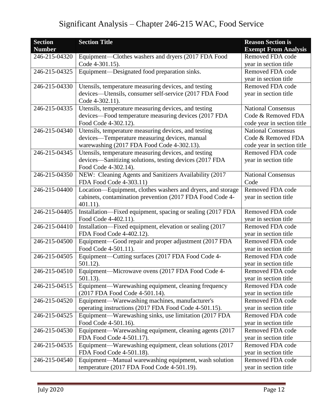| <b>Section</b> | <b>Section Title</b>                                        | <b>Reason Section is</b>    |
|----------------|-------------------------------------------------------------|-----------------------------|
| <b>Number</b>  |                                                             | <b>Exempt From Analysis</b> |
| 246-215-04320  | Equipment-Clothes washers and dryers (2017 FDA Food         | Removed FDA code            |
|                | Code 4-301.15).                                             | year in section title       |
| 246-215-04325  | Equipment-Designated food preparation sinks.                | Removed FDA code            |
|                |                                                             | year in section title       |
| 246-215-04330  | Utensils, temperature measuring devices, and testing        | Removed FDA code            |
|                | devices—Utensils, consumer self-service (2017 FDA Food      | year in section title       |
|                | Code 4-302.11).                                             |                             |
| 246-215-04335  | Utensils, temperature measuring devices, and testing        | <b>National Consensus</b>   |
|                | devices—Food temperature measuring devices (2017 FDA        | Code & Removed FDA          |
|                | Food Code 4-302.12).                                        | code year in section title  |
| 246-215-04340  | Utensils, temperature measuring devices, and testing        | <b>National Consensus</b>   |
|                | devices—Temperature measuring devices, manual               | Code & Removed FDA          |
|                | warewashing (2017 FDA Food Code 4-302.13).                  | code year in section title  |
| 246-215-04345  | Utensils, temperature measuring devices, and testing        | Removed FDA code            |
|                | devices-Sanitizing solutions, testing devices (2017 FDA     | year in section title       |
|                | Food Code 4-302.14).                                        |                             |
| 246-215-04350  | NEW: Cleaning Agents and Sanitizers Availability (2017      | <b>National Consensus</b>   |
|                | FDA Food Code 4-303.11)                                     | Code                        |
| 246-215-04400  | Location-Equipment, clothes washers and dryers, and storage | Removed FDA code            |
|                | cabinets, contamination prevention (2017 FDA Food Code 4-   | year in section title       |
|                | $401.11$ ).                                                 |                             |
| 246-215-04405  | Installation-Fixed equipment, spacing or sealing (2017 FDA  | Removed FDA code            |
|                | Food Code 4-402.11).                                        | year in section title       |
| 246-215-04410  | Installation-Fixed equipment, elevation or sealing (2017    | Removed FDA code            |
|                | FDA Food Code 4-402.12).                                    | year in section title       |
| 246-215-04500  | Equipment-Good repair and proper adjustment (2017 FDA       | Removed FDA code            |
|                | Food Code 4-501.11).                                        | year in section title       |
| 246-215-04505  | Equipment—Cutting surfaces (2017 FDA Food Code 4-           | Removed FDA code            |
|                | 501.12).                                                    | year in section title       |
| 246-215-04510  | Equipment-Microwave ovens (2017 FDA Food Code 4-            | Removed FDA code            |
|                | $501.13$ ).                                                 | year in section title       |
| 246-215-04515  | Equipment—Warewashing equipment, cleaning frequency         | Removed FDA code            |
|                | (2017 FDA Food Code 4-501.14).                              | year in section title       |
| 246-215-04520  | Equipment-Warewashing machines, manufacturer's              | Removed FDA code            |
|                | operating instructions (2017 FDA Food Code 4-501.15).       | year in section title       |
| 246-215-04525  | Equipment—Warewashing sinks, use limitation (2017 FDA       | Removed FDA code            |
|                | Food Code 4-501.16).                                        | year in section title       |
| 246-215-04530  | Equipment—Warewashing equipment, cleaning agents (2017      | Removed FDA code            |
|                | FDA Food Code 4-501.17).                                    | year in section title       |
| 246-215-04535  | Equipment—Warewashing equipment, clean solutions (2017)     | Removed FDA code            |
|                | FDA Food Code 4-501.18).                                    | year in section title       |
| 246-215-04540  | Equipment—Manual warewashing equipment, wash solution       | Removed FDA code            |
|                | temperature (2017 FDA Food Code 4-501.19).                  | year in section title       |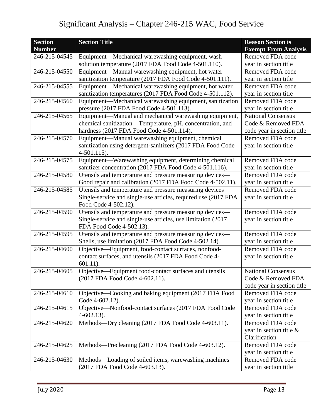| <b>Section</b> | <b>Section Title</b>                                           | <b>Reason Section is</b>    |
|----------------|----------------------------------------------------------------|-----------------------------|
| <b>Number</b>  |                                                                | <b>Exempt From Analysis</b> |
| 246-215-04545  | Equipment-Mechanical warewashing equipment, wash               | Removed FDA code            |
|                | solution temperature (2017 FDA Food Code 4-501.110).           | year in section title       |
| 246-215-04550  | Equipment—Manual warewashing equipment, hot water              | Removed FDA code            |
|                | sanitization temperature (2017 FDA Food Code 4-501.111).       | year in section title       |
| 246-215-04555  | Equipment-Mechanical warewashing equipment, hot water          | Removed FDA code            |
|                | sanitization temperatures (2017 FDA Food Code 4-501.112).      | year in section title       |
| 246-215-04560  | Equipment—Mechanical warewashing equipment, sanitization       | Removed FDA code            |
|                | pressure (2017 FDA Food Code 4-501.113).                       | year in section title       |
| 246-215-04565  | Equipment-Manual and mechanical warewashing equipment,         | <b>National Consensus</b>   |
|                | chemical sanitization-Temperature, pH, concentration, and      | Code & Removed FDA          |
|                | hardness (2017 FDA Food Code 4-501.114).                       | code year in section title  |
| 246-215-04570  | Equipment-Manual warewashing equipment, chemical               | Removed FDA code            |
|                | sanitization using detergent-sanitizers (2017 FDA Food Code    | year in section title       |
|                | $4-501.115$ ).                                                 |                             |
| 246-215-04575  | Equipment-Warewashing equipment, determining chemical          | Removed FDA code            |
|                | sanitizer concentration (2017 FDA Food Code 4-501.116).        | year in section title       |
| 246-215-04580  | Utensils and temperature and pressure measuring devices—       | Removed FDA code            |
|                | Good repair and calibration (2017 FDA Food Code 4-502.11).     | year in section title       |
| 246-215-04585  | Utensils and temperature and pressure measuring devices—       | Removed FDA code            |
|                | Single-service and single-use articles, required use (2017 FDA | year in section title       |
|                | Food Code 4-502.12).                                           |                             |
| 246-215-04590  | Utensils and temperature and pressure measuring devices-       | Removed FDA code            |
|                | Single-service and single-use articles, use limitation (2017   | year in section title       |
|                | FDA Food Code 4-502.13).                                       |                             |
| 246-215-04595  | Utensils and temperature and pressure measuring devices-       | Removed FDA code            |
|                | Shells, use limitation (2017 FDA Food Code 4-502.14).          | year in section title       |
| 246-215-04600  | Objective—Equipment, food-contact surfaces, nonfood-           | Removed FDA code            |
|                | contact surfaces, and utensils (2017 FDA Food Code 4-          | year in section title       |
|                | $601.11$ ).                                                    |                             |
| 246-215-04605  | Objective-Equipment food-contact surfaces and utensils         | <b>National Consensus</b>   |
|                | (2017 FDA Food Code 4-602.11).                                 | Code & Removed FDA          |
|                |                                                                | code year in section title  |
| 246-215-04610  | Objective—Cooking and baking equipment (2017 FDA Food          | Removed FDA code            |
|                | Code 4-602.12).                                                | year in section title       |
| 246-215-04615  | Objective-Nonfood-contact surfaces (2017 FDA Food Code         | Removed FDA code            |
|                | $4-602.13$ ).                                                  | year in section title       |
| 246-215-04620  | Methods-Dry cleaning (2017 FDA Food Code 4-603.11).            | Removed FDA code            |
|                |                                                                | year in section title &     |
|                |                                                                | Clarification               |
| 246-215-04625  | Methods—Precleaning (2017 FDA Food Code 4-603.12).             | Removed FDA code            |
|                |                                                                | year in section title       |
| 246-215-04630  | Methods—Loading of soiled items, warewashing machines          | Removed FDA code            |
|                | (2017 FDA Food Code 4-603.13).                                 | year in section title       |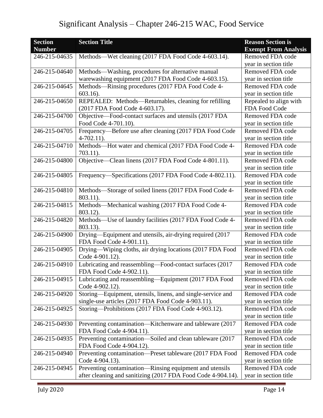| <b>Section</b><br><b>Number</b> | <b>Section Title</b>                                         | <b>Reason Section is</b><br><b>Exempt From Analysis</b> |
|---------------------------------|--------------------------------------------------------------|---------------------------------------------------------|
| 246-215-04635                   | Methods—Wet cleaning (2017 FDA Food Code 4-603.14).          | Removed FDA code                                        |
|                                 |                                                              | year in section title                                   |
| 246-215-04640                   | Methods—Washing, procedures for alternative manual           | Removed FDA code                                        |
|                                 | warewashing equipment (2017 FDA Food Code 4-603.15).         | year in section title                                   |
| 246-215-04645                   | Methods—Rinsing procedures (2017 FDA Food Code 4-            | Removed FDA code                                        |
|                                 | $603.16$ ).                                                  | year in section title                                   |
| 246-215-04650                   | REPEALED: Methods-Returnables, cleaning for refilling        | Repealed to align with                                  |
|                                 | (2017 FDA Food Code 4-603.17).                               | FDA Food Code                                           |
| 246-215-04700                   | Objective-Food-contact surfaces and utensils (2017 FDA       | Removed FDA code                                        |
|                                 | Food Code 4-701.10).                                         | year in section title                                   |
| 246-215-04705                   | Frequency—Before use after cleaning (2017 FDA Food Code      | Removed FDA code                                        |
|                                 | $4-702.11$ .                                                 | year in section title                                   |
| 246-215-04710                   | Methods-Hot water and chemical (2017 FDA Food Code 4-        | Removed FDA code                                        |
|                                 | $703.11$ ).                                                  | year in section title                                   |
| 246-215-04800                   | Objective—Clean linens (2017 FDA Food Code 4-801.11).        | Removed FDA code                                        |
|                                 |                                                              | year in section title                                   |
| 246-215-04805                   | Frequency—Specifications (2017 FDA Food Code 4-802.11).      | Removed FDA code                                        |
|                                 |                                                              | year in section title                                   |
| 246-215-04810                   | Methods—Storage of soiled linens (2017 FDA Food Code 4-      | Removed FDA code                                        |
|                                 | 803.11).                                                     | year in section title                                   |
| 246-215-04815                   | Methods—Mechanical washing (2017 FDA Food Code 4-            | Removed FDA code                                        |
|                                 | 803.12).                                                     | year in section title                                   |
| 246-215-04820                   | Methods-Use of laundry facilities (2017 FDA Food Code 4-     | Removed FDA code                                        |
|                                 | 803.13).                                                     | year in section title                                   |
| 246-215-04900                   | Drying—Equipment and utensils, air-drying required (2017     | Removed FDA code                                        |
|                                 | FDA Food Code 4-901.11).                                     |                                                         |
|                                 |                                                              | year in section title<br>Removed FDA code               |
| 246-215-04905                   | Drying-Wiping cloths, air drying locations (2017 FDA Food    |                                                         |
|                                 | Code 4-901.12).                                              | year in section title                                   |
| 246-215-04910                   | Lubricating and reassembling-Food-contact surfaces (2017     | Removed FDA code                                        |
|                                 | FDA Food Code 4-902.11).                                     | year in section title                                   |
| 246-215-04915                   | Lubricating and reassembling—Equipment (2017 FDA Food        | Removed FDA code                                        |
|                                 | Code 4-902.12).                                              | year in section title                                   |
| 246-215-04920                   | Storing-Equipment, utensils, linens, and single-service and  | Removed FDA code                                        |
|                                 | single-use articles (2017 FDA Food Code 4-903.11).           | year in section title                                   |
| 246-215-04925                   | Storing—Prohibitions (2017 FDA Food Code 4-903.12).          | Removed FDA code                                        |
|                                 |                                                              | year in section title                                   |
| 246-215-04930                   | Preventing contamination-Kitchenware and tableware (2017     | Removed FDA code                                        |
|                                 | FDA Food Code 4-904.11).                                     | year in section title                                   |
| 246-215-04935                   | Preventing contamination-Soiled and clean tableware (2017    | Removed FDA code                                        |
|                                 | FDA Food Code 4-904.12).                                     | year in section title                                   |
| 246-215-04940                   | Preventing contamination-Preset tableware (2017 FDA Food     | Removed FDA code                                        |
|                                 | Code 4-904.13).                                              | year in section title                                   |
| 246-215-04945                   | Preventing contamination-Rinsing equipment and utensils      | Removed FDA code                                        |
|                                 | after cleaning and sanitizing (2017 FDA Food Code 4-904.14). | year in section title                                   |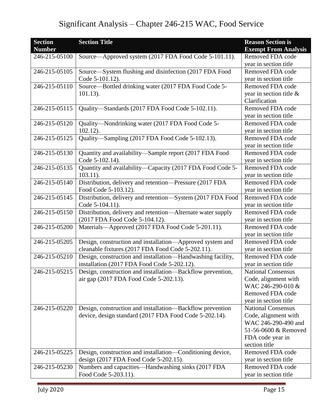| <b>Section</b><br><b>Number</b> | <b>Section Title</b>                                        | <b>Reason Section is</b><br><b>Exempt From Analysis</b> |
|---------------------------------|-------------------------------------------------------------|---------------------------------------------------------|
| 246-215-05100                   | Source—Approved system (2017 FDA Food Code 5-101.11).       | Removed FDA code                                        |
|                                 |                                                             | year in section title                                   |
| 246-215-05105                   | Source-System flushing and disinfection (2017 FDA Food      | Removed FDA code                                        |
|                                 | Code 5-101.12).                                             | year in section title                                   |
| 246-215-05110                   | Source—Bottled drinking water (2017 FDA Food Code 5-        | Removed FDA code                                        |
|                                 | $101.13$ ).                                                 | year in section title &                                 |
|                                 |                                                             | Clarification                                           |
| 246-215-05115                   | Quality-Standards (2017 FDA Food Code 5-102.11).            | Removed FDA code                                        |
|                                 |                                                             | year in section title                                   |
| 246-215-05120                   | Quality—Nondrinking water (2017 FDA Food Code 5-            | Removed FDA code                                        |
|                                 | $102.12$ ).                                                 | year in section title                                   |
| 246-215-05125                   | Quality-Sampling (2017 FDA Food Code 5-102.13).             | Removed FDA code                                        |
|                                 |                                                             | year in section title                                   |
| 246-215-05130                   | Quantity and availability-Sample report (2017 FDA Food      | Removed FDA code                                        |
|                                 | Code 5-102.14).                                             | year in section title                                   |
| $246 - 215 - 05135$             | Quantity and availability-Capacity (2017 FDA Food Code 5-   | Removed FDA code                                        |
|                                 | $103.11$ ).                                                 | year in section title                                   |
| 246-215-05140                   | Distribution, delivery and retention-Pressure (2017 FDA     | Removed FDA code                                        |
|                                 | Food Code 5-103.12).                                        | year in section title                                   |
| 246-215-05145                   | Distribution, delivery and retention-System (2017 FDA Food  | Removed FDA code                                        |
|                                 | Code 5-104.11).                                             | year in section title                                   |
| 246-215-05150                   | Distribution, delivery and retention-Alternate water supply | Removed FDA code                                        |
|                                 | (2017 FDA Food Code 5-104.12).                              | year in section title                                   |
| 246-215-05200                   | Materials—Approved (2017 FDA Food Code 5-201.11).           | Removed FDA code                                        |
|                                 |                                                             | year in section title                                   |
| 246-215-05205                   | Design, construction and installation—Approved system and   | Removed FDA code                                        |
|                                 | cleanable fixtures (2017 FDA Food Code 5-202.11).           | year in section title                                   |
| 246-215-05210                   | Design, construction and installation—Handwashing facility, | Removed FDA code                                        |
|                                 | installation (2017 FDA Food Code 5-202.12).                 | year in section title                                   |
| 246-215-05215                   | Design, construction and installation-Backflow prevention,  | <b>National Consensus</b>                               |
|                                 | air gap (2017 FDA Food Code 5-202.13).                      | Code, alignment with                                    |
|                                 |                                                             | WAC 246-290-010 &                                       |
|                                 |                                                             | Removed FDA code                                        |
|                                 |                                                             | year in section title                                   |
| 246-215-05220                   | Design, construction and installation—Backflow prevention   | <b>National Consensus</b>                               |
|                                 | device, design standard (2017 FDA Food Code 5-202.14).      | Code, alignment with                                    |
|                                 |                                                             | WAC 246-290-490 and                                     |
|                                 |                                                             | 51-56-0600 & Removed                                    |
|                                 |                                                             | FDA code year in                                        |
|                                 |                                                             | section title                                           |
| 246-215-05225                   | Design, construction and installation-Conditioning device,  | Removed FDA code                                        |
|                                 | design (2017 FDA Food Code 5-202.15).                       | year in section title                                   |
| 246-215-05230                   | Numbers and capacities—Handwashing sinks (2017 FDA          | Removed FDA code                                        |
|                                 | Food Code 5-203.11).                                        | year in section title                                   |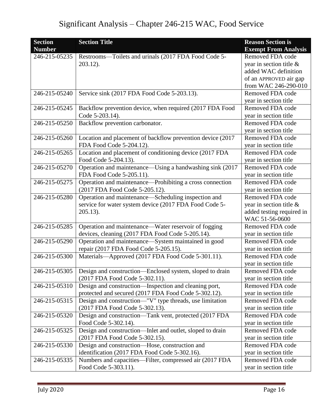| <b>Section</b> | <b>Section Title</b>                                       | <b>Reason Section is</b>    |
|----------------|------------------------------------------------------------|-----------------------------|
| <b>Number</b>  |                                                            | <b>Exempt From Analysis</b> |
| 246-215-05235  | Restrooms-Toilets and urinals (2017 FDA Food Code 5-       | Removed FDA code            |
|                | 203.12).                                                   | year in section title $\&$  |
|                |                                                            | added WAC definition        |
|                |                                                            | of an APPROVED air gap      |
|                |                                                            | from WAC 246-290-010        |
| 246-215-05240  | Service sink (2017 FDA Food Code 5-203.13).                | Removed FDA code            |
|                |                                                            | year in section title       |
| 246-215-05245  | Backflow prevention device, when required (2017 FDA Food   | Removed FDA code            |
|                | Code 5-203.14).                                            | year in section title       |
| 246-215-05250  | Backflow prevention carbonator.                            | Removed FDA code            |
|                |                                                            | year in section title       |
| 246-215-05260  | Location and placement of backflow prevention device (2017 | Removed FDA code            |
|                | FDA Food Code 5-204.12).                                   | year in section title       |
| 246-215-05265  | Location and placement of conditioning device (2017 FDA    | Removed FDA code            |
|                | Food Code 5-204.13).                                       | year in section title       |
| 246-215-05270  | Operation and maintenance—Using a handwashing sink (2017   | Removed FDA code            |
|                | FDA Food Code 5-205.11).                                   | year in section title       |
| 246-215-05275  | Operation and maintenance—Prohibiting a cross connection   | Removed FDA code            |
|                | (2017 FDA Food Code 5-205.12).                             | year in section title       |
| 246-215-05280  | Operation and maintenance—Scheduling inspection and        | Removed FDA code            |
|                | service for water system device (2017 FDA Food Code 5-     | year in section title $\&$  |
|                | $205.13$ ).                                                | added testing required in   |
|                |                                                            | WAC 51-56-0600              |
| 246-215-05285  | Operation and maintenance—Water reservoir of fogging       | Removed FDA code            |
|                | devices, cleaning (2017 FDA Food Code 5-205.14).           | year in section title       |
| 246-215-05290  | Operation and maintenance—System maintained in good        | Removed FDA code            |
|                | repair (2017 FDA Food Code 5-205.15).                      | year in section title       |
| 246-215-05300  | Materials-Approved (2017 FDA Food Code 5-301.11).          | Removed FDA code            |
|                |                                                            | year in section title       |
| 246-215-05305  | Design and construction—Enclosed system, sloped to drain   | Removed FDA code            |
|                | (2017 FDA Food Code 5-302.11).                             | year in section title       |
| 246-215-05310  | Design and construction—Inspection and cleaning port,      | Removed FDA code            |
|                | protected and secured (2017 FDA Food Code 5-302.12).       | year in section title       |
| 246-215-05315  | Design and construction—"V" type threads, use limitation   | Removed FDA code            |
|                | (2017 FDA Food Code 5-302.13).                             | year in section title       |
| 246-215-05320  | Design and construction—Tank vent, protected (2017 FDA     | Removed FDA code            |
|                | Food Code 5-302.14).                                       | year in section title       |
| 246-215-05325  | Design and construction-Inlet and outlet, sloped to drain  | Removed FDA code            |
|                | (2017 FDA Food Code 5-302.15).                             | year in section title       |
| 246-215-05330  | Design and construction-Hose, construction and             | Removed FDA code            |
|                | identification (2017 FDA Food Code 5-302.16).              | year in section title       |
| 246-215-05335  | Numbers and capacities—Filter, compressed air (2017 FDA    | Removed FDA code            |
|                | Food Code 5-303.11).                                       | year in section title       |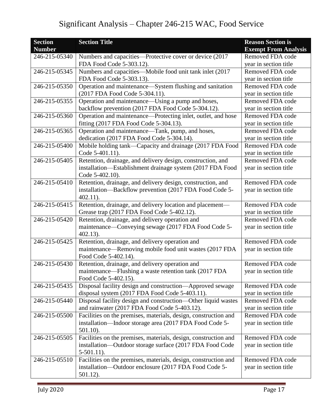| <b>Section</b> | <b>Section Title</b>                                                                                            | <b>Reason Section is</b>                  |
|----------------|-----------------------------------------------------------------------------------------------------------------|-------------------------------------------|
| <b>Number</b>  |                                                                                                                 | <b>Exempt From Analysis</b>               |
| 246-215-05340  | Numbers and capacities—Protective cover or device (2017)                                                        | Removed FDA code                          |
|                | FDA Food Code 5-303.12).                                                                                        | year in section title                     |
| 246-215-05345  | Numbers and capacities—Mobile food unit tank inlet (2017                                                        | Removed FDA code                          |
|                | FDA Food Code 5-303.13).                                                                                        | year in section title                     |
| 246-215-05350  | Operation and maintenance—System flushing and sanitation                                                        | Removed FDA code                          |
|                | (2017 FDA Food Code 5-304.11).                                                                                  | year in section title                     |
| 246-215-05355  | Operation and maintenance—Using a pump and hoses,                                                               | Removed FDA code                          |
|                | backflow prevention (2017 FDA Food Code 5-304.12).                                                              | year in section title                     |
| 246-215-05360  | Operation and maintenance—Protecting inlet, outlet, and hose                                                    | Removed FDA code                          |
|                | fitting (2017 FDA Food Code 5-304.13).                                                                          | year in section title                     |
| 246-215-05365  | Operation and maintenance—Tank, pump, and hoses,                                                                | Removed FDA code                          |
|                | dedication (2017 FDA Food Code 5-304.14).                                                                       | year in section title                     |
| 246-215-05400  | Mobile holding tank-Capacity and drainage (2017 FDA Food                                                        | Removed FDA code                          |
|                | Code 5-401.11).                                                                                                 | year in section title                     |
| 246-215-05405  | Retention, drainage, and delivery design, construction, and                                                     | Removed FDA code                          |
|                | installation—Establishment drainage system (2017 FDA Food                                                       | year in section title                     |
|                | Code 5-402.10).                                                                                                 |                                           |
| 246-215-05410  | Retention, drainage, and delivery design, construction, and                                                     | Removed FDA code                          |
|                | installation-Backflow prevention (2017 FDA Food Code 5-                                                         | year in section title                     |
|                | $402.11$ ).                                                                                                     |                                           |
| 246-215-05415  | Retention, drainage, and delivery location and placement—                                                       | Removed FDA code                          |
|                | Grease trap (2017 FDA Food Code 5-402.12).                                                                      | year in section title                     |
| 246-215-05420  | Retention, drainage, and delivery operation and                                                                 | Removed FDA code                          |
|                | maintenance—Conveying sewage (2017 FDA Food Code 5-                                                             | year in section title                     |
|                | $402.13$ ).                                                                                                     |                                           |
| 246-215-05425  | Retention, drainage, and delivery operation and                                                                 | Removed FDA code                          |
|                | maintenance—Removing mobile food unit wastes (2017 FDA                                                          | year in section title                     |
|                | Food Code 5-402.14).                                                                                            |                                           |
| 246-215-05430  | Retention, drainage, and delivery operation and                                                                 | Removed FDA code                          |
|                | maintenance—Flushing a waste retention tank (2017 FDA                                                           | year in section title                     |
|                | Food Code 5-402.15).                                                                                            |                                           |
| 246-215-05435  | Disposal facility design and construction-Approved sewage                                                       | Removed FDA code                          |
|                | disposal system (2017 FDA Food Code 5-403.11).                                                                  | year in section title<br>Removed FDA code |
| 246-215-05440  | Disposal facility design and construction-Other liquid wastes                                                   |                                           |
| 246-215-05500  | and rainwater (2017 FDA Food Code 5-403.12).<br>Facilities on the premises, materials, design, construction and | year in section title<br>Removed FDA code |
|                | installation—Indoor storage area (2017 FDA Food Code 5-                                                         |                                           |
|                |                                                                                                                 | year in section title                     |
| 246-215-05505  | $501.10$ ).<br>Facilities on the premises, materials, design, construction and                                  | Removed FDA code                          |
|                | installation-Outdoor storage surface (2017 FDA Food Code                                                        | year in section title                     |
|                | $5-501.11$ .                                                                                                    |                                           |
| 246-215-05510  | Facilities on the premises, materials, design, construction and                                                 | Removed FDA code                          |
|                | installation-Outdoor enclosure (2017 FDA Food Code 5-                                                           | year in section title                     |
|                | 501.12).                                                                                                        |                                           |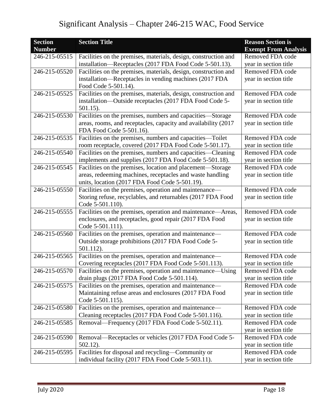| <b>Section</b> | <b>Section Title</b>                                            | <b>Reason Section is</b>    |
|----------------|-----------------------------------------------------------------|-----------------------------|
| <b>Number</b>  |                                                                 | <b>Exempt From Analysis</b> |
| 246-215-05515  | Facilities on the premises, materials, design, construction and | Removed FDA code            |
|                | installation-Receptacles (2017 FDA Food Code 5-501.13).         | year in section title       |
| 246-215-05520  | Facilities on the premises, materials, design, construction and | Removed FDA code            |
|                | installation—Receptacles in vending machines (2017 FDA          | year in section title       |
|                | Food Code 5-501.14).                                            |                             |
| 246-215-05525  | Facilities on the premises, materials, design, construction and | Removed FDA code            |
|                | installation—Outside receptacles (2017 FDA Food Code 5-         | year in section title       |
|                | $501.15$ ).                                                     |                             |
| 246-215-05530  | Facilities on the premises, numbers and capacities—Storage      | Removed FDA code            |
|                | areas, rooms, and receptacles, capacity and availability (2017  | year in section title       |
|                | FDA Food Code 5-501.16).                                        |                             |
| 246-215-05535  | Facilities on the premises, numbers and capacities—Toilet       | Removed FDA code            |
|                | room receptacle, covered (2017 FDA Food Code 5-501.17).         | year in section title       |
| 246-215-05540  | Facilities on the premises, numbers and capacities—Cleaning     | Removed FDA code            |
|                | implements and supplies (2017 FDA Food Code 5-501.18).          | year in section title       |
| 246-215-05545  | Facilities on the premises, location and placement—Storage      | Removed FDA code            |
|                | areas, redeeming machines, receptacles and waste handling       | year in section title       |
|                | units, location (2017 FDA Food Code 5-501.19).                  |                             |
| 246-215-05550  | Facilities on the premises, operation and maintenance-          | Removed FDA code            |
|                | Storing refuse, recyclables, and returnables (2017 FDA Food     | year in section title       |
|                | Code 5-501.110).                                                |                             |
| 246-215-05555  | Facilities on the premises, operation and maintenance-Areas,    | Removed FDA code            |
|                | enclosures, and receptacles, good repair (2017 FDA Food         | year in section title       |
|                | Code 5-501.111).                                                |                             |
| 246-215-05560  | Facilities on the premises, operation and maintenance-          | Removed FDA code            |
|                | Outside storage prohibitions (2017 FDA Food Code 5-             | year in section title       |
|                | 501.112).                                                       |                             |
| 246-215-05565  | Facilities on the premises, operation and maintenance-          | Removed FDA code            |
|                | Covering receptacles (2017 FDA Food Code 5-501.113).            | year in section title       |
| 246-215-05570  | Facilities on the premises, operation and maintenance—Using     | Removed FDA code            |
|                | drain plugs (2017 FDA Food Code 5-501.114).                     | year in section title       |
| 246-215-05575  | Facilities on the premises, operation and maintenance-          | Removed FDA code            |
|                | Maintaining refuse areas and enclosures (2017 FDA Food          | year in section title       |
|                | Code 5-501.115).                                                |                             |
| 246-215-05580  | Facilities on the premises, operation and maintenance-          | Removed FDA code            |
|                | Cleaning receptacles (2017 FDA Food Code 5-501.116).            | year in section title       |
| 246-215-05585  | Removal—Frequency (2017 FDA Food Code 5-502.11).                | Removed FDA code            |
|                |                                                                 | year in section title       |
| 246-215-05590  | Removal—Receptacles or vehicles (2017 FDA Food Code 5-          | Removed FDA code            |
|                | $502.12$ ).                                                     | year in section title       |
| 246-215-05595  | Facilities for disposal and recycling-Community or              | Removed FDA code            |
|                | individual facility (2017 FDA Food Code 5-503.11).              | year in section title       |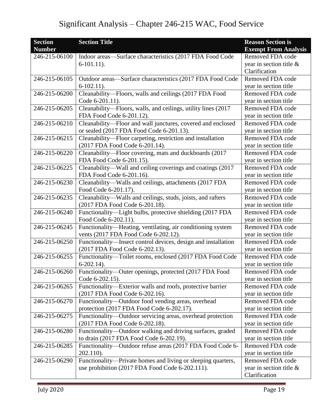| <b>Section</b> | <b>Section Title</b>                                           | <b>Reason Section is</b>    |
|----------------|----------------------------------------------------------------|-----------------------------|
| <b>Number</b>  |                                                                | <b>Exempt From Analysis</b> |
| 246-215-06100  | Indoor areas—Surface characteristics (2017 FDA Food Code       | Removed FDA code            |
|                | $6-101.11$ .                                                   | year in section title $\&$  |
|                |                                                                | Clarification               |
| 246-215-06105  | Outdoor areas—Surface characteristics (2017 FDA Food Code      | Removed FDA code            |
|                | $6-102.11$ .                                                   | year in section title       |
| 246-215-06200  | Cleanability-Floors, walls and ceilings (2017 FDA Food         | Removed FDA code            |
|                | Code 6-201.11).                                                | year in section title       |
| 246-215-06205  | Cleanability—Floors, walls, and ceilings, utility lines (2017) | Removed FDA code            |
|                | FDA Food Code 6-201.12).                                       | year in section title       |
| 246-215-06210  | Cleanability-Floor and wall junctures, covered and enclosed    | Removed FDA code            |
|                | or sealed (2017 FDA Food Code 6-201.13).                       | year in section title       |
| 246-215-06215  | Cleanability—Floor carpeting, restriction and installation     | Removed FDA code            |
|                | (2017 FDA Food Code 6-201.14).                                 | year in section title       |
| 246-215-06220  | Cleanability-Floor covering, mats and duckboards (2017         | Removed FDA code            |
|                | FDA Food Code 6-201.15).                                       | year in section title       |
| 246-215-06225  | Cleanability-Wall and ceiling coverings and coatings (2017     | Removed FDA code            |
|                | FDA Food Code 6-201.16).                                       | year in section title       |
| 246-215-06230  | Cleanability-Walls and ceilings, attachments (2017 FDA         | Removed FDA code            |
|                | Food Code 6-201.17).                                           | year in section title       |
| 246-215-06235  | Cleanability-Walls and ceilings, studs, joists, and rafters    | Removed FDA code            |
|                | (2017 FDA Food Code 6-201.18).                                 | year in section title       |
| 246-215-06240  | Functionality-Light bulbs, protective shielding (2017 FDA      | Removed FDA code            |
|                | Food Code 6-202.11).                                           | year in section title       |
| 246-215-06245  | Functionality-Heating, ventilating, air conditioning system    | Removed FDA code            |
|                | vents (2017 FDA Food Code 6-202.12).                           | year in section title       |
| 246-215-06250  | Functionality—Insect control devices, design and installation  | Removed FDA code            |
|                | (2017 FDA Food Code 6-202.13).                                 | year in section title       |
| 246-215-06255  | Functionality-Toilet rooms, enclosed (2017 FDA Food Code       | Removed FDA code            |
|                | $6-202.14$ ).                                                  | year in section title       |
| 246-215-06260  | Functionality-Outer openings, protected (2017 FDA Food         | Removed FDA code            |
|                | Code 6-202.15).                                                | year in section title       |
| 246-215-06265  | Functionality—Exterior walls and roofs, protective barrier     | Removed FDA code            |
|                | (2017 FDA Food Code 6-202.16).                                 | year in section title       |
| 246-215-06270  | Functionality-Outdoor food vending areas, overhead             | Removed FDA code            |
|                | protection (2017 FDA Food Code 6-202.17).                      | year in section title       |
| 246-215-06275  | Functionality—Outdoor servicing areas, overhead protection     | Removed FDA code            |
|                | (2017 FDA Food Code 6-202.18).                                 | year in section title       |
| 246-215-06280  | Functionality-Outdoor walking and driving surfaces, graded     | Removed FDA code            |
|                | to drain (2017 FDA Food Code 6-202.19).                        | year in section title       |
| 246-215-06285  | Functionality-Outdoor refuse areas (2017 FDA Food Code 6-      | Removed FDA code            |
|                | 202.110).                                                      | year in section title       |
| 246-215-06290  | Functionality—Private homes and living or sleeping quarters,   | Removed FDA code            |
|                | use prohibition (2017 FDA Food Code 6-202.111).                | year in section title $\&$  |
|                |                                                                | Clarification               |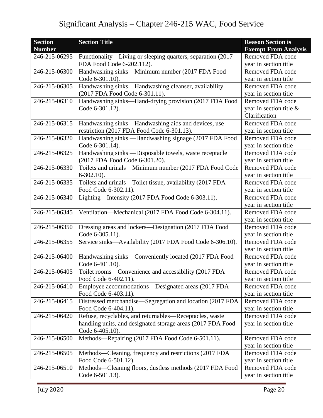| <b>Section</b> | <b>Section Title</b>                                         | <b>Reason Section is</b>    |
|----------------|--------------------------------------------------------------|-----------------------------|
| <b>Number</b>  |                                                              | <b>Exempt From Analysis</b> |
| 246-215-06295  | Functionality—Living or sleeping quarters, separation (2017) | Removed FDA code            |
|                | FDA Food Code 6-202.112).                                    | year in section title       |
| 246-215-06300  | Handwashing sinks-Minimum number (2017 FDA Food              | Removed FDA code            |
|                | Code 6-301.10).                                              | year in section title       |
| 246-215-06305  | Handwashing sinks-Handwashing cleanser, availability         | Removed FDA code            |
|                | (2017 FDA Food Code 6-301.11).                               | year in section title       |
| 246-215-06310  | Handwashing sinks-Hand-drying provision (2017 FDA Food       | Removed FDA code            |
|                | Code 6-301.12).                                              | year in section title &     |
|                |                                                              | Clarification               |
| 246-215-06315  | Handwashing sinks—Handwashing aids and devices, use          | Removed FDA code            |
|                | restriction (2017 FDA Food Code 6-301.13).                   | year in section title       |
| 246-215-06320  | Handwashing sinks - Handwashing signage (2017 FDA Food       | Removed FDA code            |
|                | Code 6-301.14).                                              | year in section title       |
| 246-215-06325  | Handwashing sinks - Disposable towels, waste receptacle      | Removed FDA code            |
|                | (2017 FDA Food Code 6-301.20).                               | year in section title       |
| 246-215-06330  | Toilets and urinals-Minimum number (2017 FDA Food Code       | Removed FDA code            |
|                | $6-302.10$ ).                                                | year in section title       |
| 246-215-06335  | Toilets and urinals-Toilet tissue, availability (2017 FDA    | Removed FDA code            |
|                | Food Code 6-302.11).                                         | year in section title       |
| 246-215-06340  | Lighting—Intensity (2017 FDA Food Code 6-303.11).            | Removed FDA code            |
|                |                                                              | year in section title       |
| 246-215-06345  | Ventilation-Mechanical (2017 FDA Food Code 6-304.11).        | Removed FDA code            |
|                |                                                              | year in section title       |
| 246-215-06350  | Dressing areas and lockers—Designation (2017 FDA Food        | Removed FDA code            |
|                | Code 6-305.11).                                              | year in section title       |
| 246-215-06355  | Service sinks—Availability (2017 FDA Food Code 6-306.10).    | Removed FDA code            |
|                |                                                              | year in section title       |
| 246-215-06400  | Handwashing sinks—Conveniently located (2017 FDA Food        | Removed FDA code            |
|                | Code 6-401.10).                                              | year in section title       |
| 246-215-06405  | Toilet rooms—Convenience and accessibility (2017 FDA         | Removed FDA code            |
|                | Food Code 6-402.11).                                         | year in section title       |
| 246-215-06410  | Employee accommodations-Designated areas (2017 FDA           | Removed FDA code            |
|                | Food Code 6-403.11).                                         | year in section title       |
| 246-215-06415  | Distressed merchandise—Segregation and location (2017 FDA    | Removed FDA code            |
|                | Food Code 6-404.11).                                         | year in section title       |
| 246-215-06420  | Refuse, recyclables, and returnables—Receptacles, waste      | Removed FDA code            |
|                | handling units, and designated storage areas (2017 FDA Food  | year in section title       |
|                | Code 6-405.10).                                              |                             |
| 246-215-06500  | Methods—Repairing (2017 FDA Food Code 6-501.11).             | Removed FDA code            |
|                |                                                              | year in section title       |
| 246-215-06505  | Methods—Cleaning, frequency and restrictions (2017 FDA       | Removed FDA code            |
|                | Food Code 6-501.12).                                         | year in section title       |
| 246-215-06510  | Methods-Cleaning floors, dustless methods (2017 FDA Food     | Removed FDA code            |
|                | Code 6-501.13).                                              | year in section title       |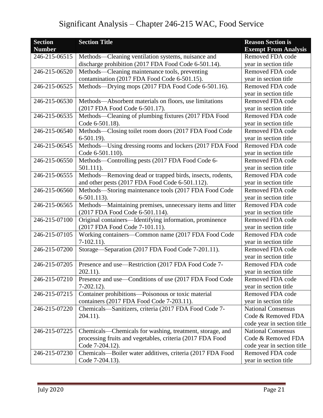| <b>Section</b>      | <b>Section Title</b>                                       | <b>Reason Section is</b>    |
|---------------------|------------------------------------------------------------|-----------------------------|
| <b>Number</b>       |                                                            | <b>Exempt From Analysis</b> |
| 246-215-06515       | Methods—Cleaning ventilation systems, nuisance and         | Removed FDA code            |
|                     | discharge prohibition (2017 FDA Food Code 6-501.14).       | year in section title       |
| 246-215-06520       | Methods—Cleaning maintenance tools, preventing             | Removed FDA code            |
|                     | contamination (2017 FDA Food Code 6-501.15).               | year in section title       |
| 246-215-06525       | Methods-Drying mops (2017 FDA Food Code 6-501.16).         | Removed FDA code            |
|                     |                                                            | year in section title       |
| 246-215-06530       | Methods—Absorbent materials on floors, use limitations     | Removed FDA code            |
|                     | (2017 FDA Food Code 6-501.17).                             | year in section title       |
| 246-215-06535       | Methods-Cleaning of plumbing fixtures (2017 FDA Food       | Removed FDA code            |
|                     | Code 6-501.18).                                            | year in section title       |
| 246-215-06540       | Methods-Closing toilet room doors (2017 FDA Food Code      | Removed FDA code            |
|                     | $6-501.19$ .                                               | year in section title       |
| 246-215-06545       | Methods-Using dressing rooms and lockers (2017 FDA Food    | Removed FDA code            |
|                     | Code 6-501.110).                                           | year in section title       |
| 246-215-06550       | Methods—Controlling pests (2017 FDA Food Code 6-           | Removed FDA code            |
|                     | 501.111).                                                  | year in section title       |
| 246-215-06555       | Methods-Removing dead or trapped birds, insects, rodents,  | Removed FDA code            |
|                     | and other pests (2017 FDA Food Code 6-501.112).            | year in section title       |
| 246-215-06560       | Methods-Storing maintenance tools (2017 FDA Food Code      | Removed FDA code            |
|                     | $6-501.113$ .                                              | year in section title       |
| 246-215-06565       | Methods-Maintaining premises, unnecessary items and litter | Removed FDA code            |
|                     | (2017 FDA Food Code 6-501.114).                            | year in section title       |
| 246-215-07100       | Original containers-Identifying information, prominence    | Removed FDA code            |
|                     | (2017 FDA Food Code 7-101.11).                             | year in section title       |
| $246 - 215 - 07105$ | Working containers-Common name (2017 FDA Food Code         | Removed FDA code            |
|                     | $7-102.11$ .                                               | year in section title       |
| 246-215-07200       | Storage-Separation (2017 FDA Food Code 7-201.11).          | Removed FDA code            |
|                     |                                                            | year in section title       |
| 246-215-07205       | Presence and use—Restriction (2017 FDA Food Code 7-        | Removed FDA code            |
|                     | $202.11$ ).                                                | year in section title       |
| 246-215-07210       | Presence and use-Conditions of use (2017 FDA Food Code     | Removed FDA code            |
|                     | $7-202.12$ ).                                              | year in section title       |
| 246-215-07215       | Container prohibitions-Poisonous or toxic material         | Removed FDA code            |
|                     | containers (2017 FDA Food Code 7-203.11).                  | year in section title       |
| 246-215-07220       | Chemicals—Sanitizers, criteria (2017 FDA Food Code 7-      | <b>National Consensus</b>   |
|                     | $204.11$ ).                                                | Code & Removed FDA          |
|                     |                                                            | code year in section title  |
| 246-215-07225       | Chemicals—Chemicals for washing, treatment, storage, and   | <b>National Consensus</b>   |
|                     | processing fruits and vegetables, criteria (2017 FDA Food  | Code & Removed FDA          |
|                     | Code 7-204.12).                                            | code year in section title  |
| 246-215-07230       | Chemicals—Boiler water additives, criteria (2017 FDA Food  | Removed FDA code            |
|                     | Code 7-204.13).                                            | year in section title       |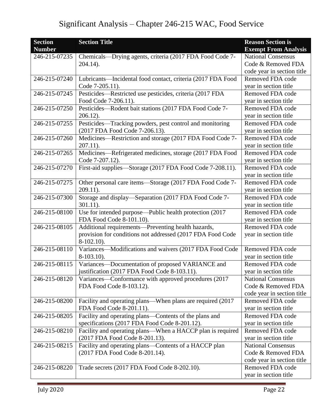| <b>Section</b><br><b>Number</b> | <b>Section Title</b>                                                        | <b>Reason Section is</b><br><b>Exempt From Analysis</b> |
|---------------------------------|-----------------------------------------------------------------------------|---------------------------------------------------------|
| 246-215-07235                   | Chemicals—Drying agents, criteria (2017 FDA Food Code 7-                    | <b>National Consensus</b>                               |
|                                 | 204.14).                                                                    | Code & Removed FDA                                      |
|                                 |                                                                             | code year in section title                              |
| 246-215-07240                   | Lubricants-Incidental food contact, criteria (2017 FDA Food                 | Removed FDA code                                        |
|                                 | Code 7-205.11).                                                             | year in section title                                   |
| 246-215-07245                   | Pesticides—Restricted use pesticides, criteria (2017 FDA                    | Removed FDA code                                        |
|                                 | Food Code 7-206.11).                                                        | year in section title                                   |
| 246-215-07250                   | Pesticides-Rodent bait stations (2017 FDA Food Code 7-                      | Removed FDA code                                        |
|                                 | $206.12$ ).                                                                 | year in section title                                   |
| 246-215-07255                   | Pesticides—Tracking powders, pest control and monitoring                    | Removed FDA code                                        |
|                                 | (2017 FDA Food Code 7-206.13).                                              | year in section title                                   |
| 246-215-07260                   | Medicines-Restriction and storage (2017 FDA Food Code 7-                    | Removed FDA code                                        |
|                                 | $207.11$ ).                                                                 | year in section title                                   |
| 246-215-07265                   | Medicines—Refrigerated medicines, storage (2017 FDA Food                    | Removed FDA code                                        |
|                                 | Code 7-207.12).                                                             | year in section title                                   |
| 246-215-07270                   | First-aid supplies-Storage (2017 FDA Food Code 7-208.11).                   | Removed FDA code                                        |
|                                 |                                                                             | year in section title                                   |
| 246-215-07275                   | Other personal care items-Storage (2017 FDA Food Code 7-                    | Removed FDA code                                        |
|                                 | $209.11$ ).                                                                 | year in section title                                   |
| 246-215-07300                   | Storage and display—Separation (2017 FDA Food Code 7-                       | Removed FDA code                                        |
|                                 | $301.11$ ).                                                                 | year in section title                                   |
| 246-215-08100                   | Use for intended purpose—Public health protection (2017                     | Removed FDA code                                        |
|                                 | FDA Food Code 8-101.10).                                                    | year in section title                                   |
| 246-215-08105                   | Additional requirements-Preventing health hazards,                          | Removed FDA code                                        |
|                                 | provision for conditions not addressed (2017 FDA Food Code<br>$8-102.10$ ). | year in section title                                   |
| 246-215-08110                   | Variances—Modifications and waivers (2017 FDA Food Code                     | Removed FDA code                                        |
|                                 | 8-103.10).                                                                  | year in section title                                   |
| 246-215-08115                   | Variances-Documentation of proposed VARIANCE and                            | Removed FDA code                                        |
|                                 | justification (2017 FDA Food Code 8-103.11).                                | year in section title                                   |
| 246-215-08120                   | Variances—Conformance with approved procedures (2017)                       | <b>National Consensus</b>                               |
|                                 | FDA Food Code 8-103.12).                                                    | Code & Removed FDA                                      |
|                                 |                                                                             | code year in section title                              |
| 246-215-08200                   | Facility and operating plans—When plans are required (2017                  | Removed FDA code                                        |
|                                 | FDA Food Code 8-201.11).                                                    | year in section title                                   |
| 246-215-08205                   | Facility and operating plans-Contents of the plans and                      | Removed FDA code                                        |
|                                 | specifications (2017 FDA Food Code 8-201.12).                               | year in section title                                   |
| 246-215-08210                   | Facility and operating plans—When a HACCP plan is required                  | Removed FDA code                                        |
|                                 | (2017 FDA Food Code 8-201.13).                                              | year in section title                                   |
| 246-215-08215                   | Facility and operating plans—Contents of a HACCP plan                       | <b>National Consensus</b>                               |
|                                 | (2017 FDA Food Code 8-201.14).                                              | Code & Removed FDA                                      |
|                                 |                                                                             | code year in section title                              |
| 246-215-08220                   | Trade secrets (2017 FDA Food Code 8-202.10).                                | Removed FDA code                                        |
|                                 |                                                                             | year in section title                                   |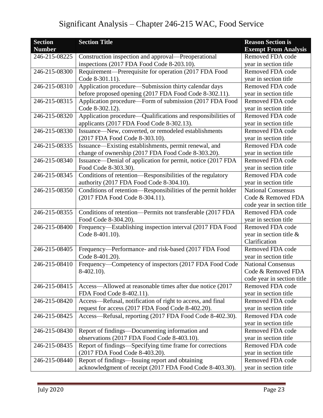| <b>Section</b> | <b>Section Title</b>                                          | <b>Reason Section is</b>    |
|----------------|---------------------------------------------------------------|-----------------------------|
| <b>Number</b>  |                                                               | <b>Exempt From Analysis</b> |
| 246-215-08225  | Construction inspection and approval—Preoperational           | Removed FDA code            |
|                | inspections (2017 FDA Food Code 8-203.10).                    | year in section title       |
| 246-215-08300  | Requirement—Prerequisite for operation (2017 FDA Food         | Removed FDA code            |
|                | Code 8-301.11).                                               | year in section title       |
| 246-215-08310  | Application procedure—Submission thirty calendar days         | Removed FDA code            |
|                | before proposed opening (2017 FDA Food Code 8-302.11).        | year in section title       |
| 246-215-08315  | Application procedure—Form of submission (2017 FDA Food       | Removed FDA code            |
|                | Code 8-302.12).                                               | year in section title       |
| 246-215-08320  | Application procedure—Qualifications and responsibilities of  | Removed FDA code            |
|                | applicants (2017 FDA Food Code 8-302.13).                     | year in section title       |
| 246-215-08330  | Issuance-New, converted, or remodeled establishments          | Removed FDA code            |
|                | (2017 FDA Food Code 8-303.10).                                | year in section title       |
| 246-215-08335  | Issuance—Existing establishments, permit renewal, and         | Removed FDA code            |
|                | change of ownership (2017 FDA Food Code 8-303.20).            | year in section title       |
| 246-215-08340  | Issuance—Denial of application for permit, notice (2017 FDA   | Removed FDA code            |
|                | Food Code 8-303.30).                                          | year in section title       |
| 246-215-08345  | Conditions of retention-Responsibilities of the regulatory    | Removed FDA code            |
|                | authority (2017 FDA Food Code 8-304.10).                      | year in section title       |
| 246-215-08350  | Conditions of retention—Responsibilities of the permit holder | <b>National Consensus</b>   |
|                | (2017 FDA Food Code 8-304.11).                                | Code & Removed FDA          |
|                |                                                               | code year in section title  |
| 246-215-08355  | Conditions of retention-Permits not transferable (2017 FDA    | Removed FDA code            |
|                | Food Code 8-304.20).                                          | year in section title       |
| 246-215-08400  | Frequency—Establishing inspection interval (2017 FDA Food     | Removed FDA code            |
|                | Code 8-401.10).                                               | year in section title $\&$  |
|                |                                                               | Clarification               |
| 246-215-08405  | Frequency-Performance- and risk-based (2017 FDA Food          | Removed FDA code            |
|                | Code 8-401.20).                                               | year in section title       |
| 246-215-08410  | Frequency-Competency of inspectors (2017 FDA Food Code        | <b>National Consensus</b>   |
|                | $8-402.10$ ).                                                 | Code & Removed FDA          |
|                |                                                               | code year in section title  |
| 246-215-08415  | Access—Allowed at reasonable times after due notice (2017)    | Removed FDA code            |
|                | FDA Food Code 8-402.11).                                      | year in section title       |
| 246-215-08420  | Access-Refusal, notification of right to access, and final    | Removed FDA code            |
|                | request for access (2017 FDA Food Code 8-402.20).             | year in section title       |
| 246-215-08425  | Access—Refusal, reporting (2017 FDA Food Code 8-402.30).      | Removed FDA code            |
|                |                                                               | year in section title       |
| 246-215-08430  | Report of findings—Documenting information and                | Removed FDA code            |
|                | observations (2017 FDA Food Code 8-403.10).                   | year in section title       |
| 246-215-08435  | Report of findings—Specifying time frame for corrections      | Removed FDA code            |
|                | (2017 FDA Food Code 8-403.20).                                | year in section title       |
| 246-215-08440  | Report of findings—Issuing report and obtaining               | Removed FDA code            |
|                | acknowledgment of receipt (2017 FDA Food Code 8-403.30).      | year in section title       |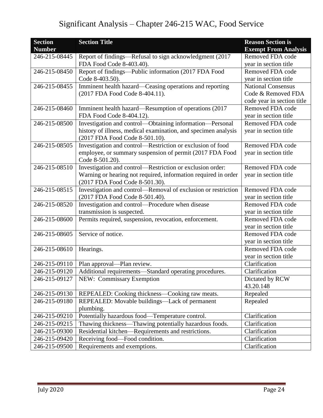| <b>Section</b> | <b>Section Title</b>                                                              | <b>Reason Section is</b>    |
|----------------|-----------------------------------------------------------------------------------|-----------------------------|
| <b>Number</b>  |                                                                                   | <b>Exempt From Analysis</b> |
| 246-215-08445  | Report of findings—Refusal to sign acknowledgment (2017                           | Removed FDA code            |
|                | FDA Food Code 8-403.40).                                                          | vear in section title       |
| 246-215-08450  | Report of findings—Public information (2017 FDA Food                              | Removed FDA code            |
|                | Code 8-403.50).                                                                   | year in section title       |
| 246-215-08455  | Imminent health hazard—Ceasing operations and reporting                           | <b>National Consensus</b>   |
|                | (2017 FDA Food Code 8-404.11).                                                    | Code & Removed FDA          |
|                |                                                                                   | code year in section title  |
| 246-215-08460  | Imminent health hazard—Resumption of operations (2017                             | Removed FDA code            |
|                | FDA Food Code 8-404.12).                                                          | year in section title       |
| 246-215-08500  | Investigation and control-Obtaining information-Personal                          | Removed FDA code            |
|                | history of illness, medical examination, and specimen analysis                    | year in section title       |
|                | (2017 FDA Food Code 8-501.10).                                                    |                             |
| 246-215-08505  | Investigation and control—Restriction or exclusion of food                        | Removed FDA code            |
|                | employee, or summary suspension of permit (2017 FDA Food                          | year in section title       |
|                | Code 8-501.20).                                                                   |                             |
| 246-215-08510  | Investigation and control—Restriction or exclusion order:                         | Removed FDA code            |
|                | Warning or hearing not required, information required in order                    | year in section title       |
|                | (2017 FDA Food Code 8-501.30).                                                    |                             |
| 246-215-08515  | Investigation and control—Removal of exclusion or restriction<br>Removed FDA code |                             |
|                | (2017 FDA Food Code 8-501.40).                                                    | year in section title       |
| 246-215-08520  | Investigation and control-Procedure when disease                                  | Removed FDA code            |
|                | transmission is suspected.                                                        | year in section title       |
| 246-215-08600  | Permits required, suspension, revocation, enforcement.                            | Removed FDA code            |
|                |                                                                                   | year in section title       |
| 246-215-08605  | Service of notice.                                                                | Removed FDA code            |
|                |                                                                                   | year in section title       |
| 246-215-08610  | Hearings.                                                                         | Removed FDA code            |
|                |                                                                                   | year in section title       |
| 246-215-09110  | Plan approval—Plan review.                                                        | Clarification               |
| 246-215-09120  | Additional requirements-Standard operating procedures.                            | Clarification               |
| 246-215-09127  | NEW: Commissary Exemption                                                         | Dictated by RCW             |
|                |                                                                                   | 43.20.148                   |
| 246-215-09130  | REPEALED: Cooking thickness—Cooking raw meats.                                    | Repealed                    |
| 246-215-09180  | REPEALED: Movable buildings-Lack of permanent                                     | Repealed                    |
|                | plumbing.                                                                         |                             |
| 246-215-09210  | Potentially hazardous food-Temperature control.                                   | Clarification               |
| 246-215-09215  | Thawing thickness-Thawing potentially hazardous foods.                            | Clarification               |
| 246-215-09300  | Residential kitchen-Requirements and restrictions.                                | Clarification               |
| 246-215-09420  | Receiving food-Food condition.                                                    | Clarification               |
| 246-215-09500  | Requirements and exemptions.                                                      | Clarification               |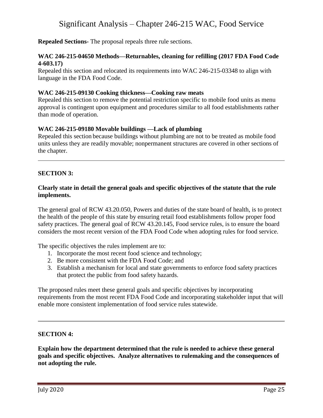**Repealed Sections-** The proposal repeals three rule sections.

#### **WAC 246-215-04650 Methods—Returnables, cleaning for refilling (2017 FDA Food Code 4-603.17)**

Repealed this section and relocated its requirements into WAC 246-215-03348 to align with language in the FDA Food Code.

#### **WAC 246-215-09130 Cooking thickness—Cooking raw meats**

Repealed this section to remove the potential restriction specific to mobile food units as menu approval is contingent upon equipment and procedures similar to all food establishments rather than mode of operation.

### **WAC 246-215-09180 Movable buildings —Lack of plumbing**

Repealed this section because buildings without plumbing are not to be treated as mobile food units unless they are readily movable; nonpermanent structures are covered in other sections of the chapter.

### **SECTION 3:**

#### **Clearly state in detail the general goals and specific objectives of the statute that the rule implements.**

The general goal of RCW 43.20.050, Powers and duties of the state board of health, is to protect the health of the people of this state by ensuring retail food establishments follow proper food safety practices. The general goal of RCW 43.20.145, Food service rules, is to ensure the board considers the most recent version of the FDA Food Code when adopting rules for food service.

The specific objectives the rules implement are to:

- 1. Incorporate the most recent food science and technology;
- 2. Be more consistent with the FDA Food Code; and
- 3. Establish a mechanism for local and state governments to enforce food safety practices that protect the public from food safety hazards.

The proposed rules meet these general goals and specific objectives by incorporating requirements from the most recent FDA Food Code and incorporating stakeholder input that will enable more consistent implementation of food service rules statewide.

### **SECTION 4:**

**Explain how the department determined that the rule is needed to achieve these general goals and specific objectives. Analyze alternatives to rulemaking and the consequences of not adopting the rule.**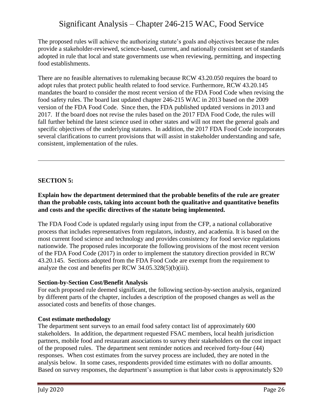The proposed rules will achieve the authorizing statute's goals and objectives because the rules provide a stakeholder-reviewed, science-based, current, and nationally consistent set of standards adopted in rule that local and state governments use when reviewing, permitting, and inspecting food establishments.

There are no feasible alternatives to rulemaking because RCW 43.20.050 requires the board to adopt rules that protect public health related to food service. Furthermore, RCW 43.20.145 mandates the board to consider the most recent version of the FDA Food Code when revising the food safety rules. The board last updated chapter 246-215 WAC in 2013 based on the 2009 version of the FDA Food Code. Since then, the FDA published updated versions in 2013 and 2017. If the board does not revise the rules based on the 2017 FDA Food Code, the rules will fall further behind the latest science used in other states and will not meet the general goals and specific objectives of the underlying statutes. In addition, the 2017 FDA Food Code incorporates several clarifications to current provisions that will assist in stakeholder understanding and safe, consistent, implementation of the rules.

#### **SECTION 5:**

**Explain how the department determined that the probable benefits of the rule are greater than the probable costs, taking into account both the qualitative and quantitative benefits and costs and the specific directives of the statute being implemented.**

The FDA Food Code is updated regularly using input from the CFP, a national collaborative process that includes representatives from regulators, industry, and academia. It is based on the most current food science and technology and provides consistency for food service regulations nationwide. The proposed rules incorporate the following provisions of the most recent version of the FDA Food Code (2017) in order to implement the statutory direction provided in RCW 43.20.145. Sections adopted from the FDA Food Code are exempt from the requirement to analyze the cost and benefits per RCW 34.05.328(5)(b)(iii).

#### **Section-by-Section Cost/Benefit Analysis**

For each proposed rule deemed significant, the following section-by-section analysis, organized by different parts of the chapter, includes a description of the proposed changes as well as the associated costs and benefits of those changes.

#### **Cost estimate methodology**

The department sent surveys to an email food safety contact list of approximately 600 stakeholders. In addition, the department requested FSAC members, local health jurisdiction partners, mobile food and restaurant associations to survey their stakeholders on the cost impact of the proposed rules. The department sent reminder notices and received forty-four (44) responses. When cost estimates from the survey process are included, they are noted in the analysis below. In some cases, respondents provided time estimates with no dollar amounts. Based on survey responses, the department's assumption is that labor costs is approximately \$20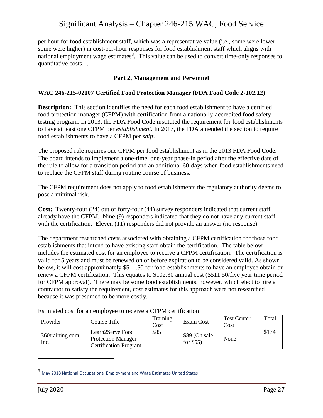per hour for food establishment staff, which was a representative value (i.e., some were lower some were higher) in cost-per-hour responses for food establishment staff which aligns with national employment wage estimates<sup>3</sup>. This value can be used to convert time-only responses to quantitative costs. .

#### **Part 2, Management and Personnel**

#### **WAC 246-215-02107 Certified Food Protection Manager (FDA Food Code 2-102.12)**

**Description:** This section identifies the need for each food establishment to have a certified food protection manager (CFPM) with certification from a nationally-accredited food safety testing program. In 2013, the FDA Food Code instituted the requirement for food establishments to have at least one CFPM per *establishment.* In 2017, the FDA amended the section to require food establishments to have a CFPM per *shift*.

The proposed rule requires one CFPM per food establishment as in the 2013 FDA Food Code. The board intends to implement a one-time, one-year phase-in period after the effective date of the rule to allow for a transition period and an additional 60-days when food establishments need to replace the CFPM staff during routine course of business.

The CFPM requirement does not apply to food establishments the regulatory authority deems to pose a minimal risk.

**Cost:** Twenty-four (24) out of forty-four (44) survey responders indicated that current staff already have the CFPM. Nine (9) responders indicated that they do not have any current staff with the certification. Eleven (11) responders did not provide an answer (no response).

The department researched costs associated with obtaining a CFPM certification for those food establishments that intend to have existing staff obtain the certification. The table below includes the estimated cost for an employee to receive a CFPM certification. The certification is valid for 5 years and must be renewed on or before expiration to be considered valid. As shown below, it will cost approximately \$511.50 for food establishments to have an employee obtain or renew a CFPM certification. This equates to \$102.30 annual cost (\$511.50/five year time period for CFPM approval). There may be some food establishments, however, which elect to hire a contractor to satisfy the requirement, cost estimates for this approach were not researched because it was presumed to be more costly.

| Provider                 | Course Title                                                                  | Training<br>Cost | Exam Cost                   | <b>Test Center</b><br>Cost | Total |
|--------------------------|-------------------------------------------------------------------------------|------------------|-----------------------------|----------------------------|-------|
| 360training.com,<br>Inc. | Learn2Serve Food<br><b>Protection Manager</b><br><b>Certification Program</b> | \$85             | \$89 (On sale<br>for $$55)$ | None                       | \$174 |

Estimated cost for an employee to receive a CFPM certification

 $\overline{a}$ 

 $3$  May 2018 National Occupational Employment and Wage Estimates United States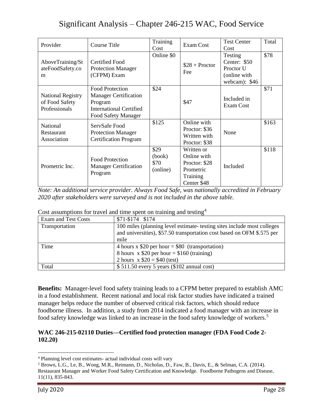| Provider                                                    | <b>Course Title</b>                                                                                                 | Training<br>Cost                   | Exam Cost                                                                          | <b>Test Center</b><br>Cost                                             | Total |
|-------------------------------------------------------------|---------------------------------------------------------------------------------------------------------------------|------------------------------------|------------------------------------------------------------------------------------|------------------------------------------------------------------------|-------|
| AboveTraining/St<br>ateFoodSafety.co<br>m                   | Certified Food<br><b>Protection Manager</b><br>(CFPM) Exam                                                          | Online \$0                         | $$28 + Proctor$<br>Fee                                                             | Testing<br>Center: \$50<br>Proctor U<br>(online with<br>webcam): $$46$ | \$78  |
| <b>National Registry</b><br>of Food Safety<br>Professionals | Food Protection<br><b>Manager Certification</b><br>Program<br><b>International Certified</b><br>Food Safety Manager | \$24                               | \$47                                                                               | Included in<br>Exam Cost                                               | \$71  |
| National<br>Restaurant<br>Association                       | ServSafe Food<br><b>Protection Manager</b><br><b>Certification Program</b>                                          | \$125                              | Online with<br>Proctor: \$36<br>Written with<br>Proctor: \$38                      | None                                                                   | \$163 |
| Prometric Inc.                                              | <b>Food Protection</b><br><b>Manager Certification</b><br>Program                                                   | \$29<br>(book)<br>\$70<br>(online) | Written or<br>Online with<br>Proctor: \$28<br>Prometric<br>Training<br>Center \$48 | Included                                                               | \$118 |

*Note: An additional service provider. Always Food Safe, was nationally accredited in February 2020 after stakeholders were surveyed and is not included in the above table.*

| <b>Exam and Test Costs</b> | \$71-\$174 \$174                                                        |
|----------------------------|-------------------------------------------------------------------------|
| Transportation             | 100 miles (planning level estimate- testing sites include most colleges |
|                            | and universities), \$57.50 transportation cost based on OFM \$.575 per  |
|                            | mile                                                                    |
| Time                       | 4 hours x $$20$ per hour = \$80 (transportation)                        |
|                            | 8 hours $x$ \$20 per hour = \$160 (training)                            |
|                            | 2 hours $x $20 = $40$ (test)                                            |
| Total                      | $$511.50$ every 5 years (\$102 annual cost)                             |

#### Cost assumptions for travel and time spent on training and testing  $4$

**Benefits:** Manager-level food safety training leads to a CFPM better prepared to establish AMC in a food establishment. Recent national and local risk factor studies have indicated a trained manager helps reduce the number of observed critical risk factors, which should reduce foodborne illness. In addition, a study from 2014 indicated a food manager with an increase in food safety knowledge was linked to an increase in the food safety knowledge of workers.<sup>5</sup>

#### **WAC 246-215-02110 Duties—Certified food protection manager (FDA Food Code 2- 102.20)**

 $\overline{a}$ 

<sup>4</sup> Planning level cost estimates- actual individual costs will vary

<sup>5</sup> Brown, L.G., Le, B., Wong, M.R., Reimann, D., Nicholas, D., Faw, B., Davis, E., & Selman, C.A. (2014). Restaurant Manager and Worker Food Safety Certification and Knowledge. Foodborne Pathogens and Disease, 11(11), 835-843.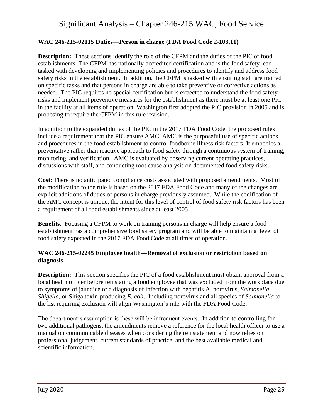#### **WAC 246-215-02115 Duties—Person in charge (FDA Food Code 2-103.11)**

**Description:** These sections identify the role of the CFPM and the duties of the PIC of food establishments. The CFPM has nationally-accredited certification and is the food safety lead tasked with developing and implementing policies and procedures to identify and address food safety risks in the establishment. In addition, the CFPM is tasked with ensuring staff are trained on specific tasks and that persons in charge are able to take preventive or corrective actions as needed. The PIC requires no special certification but is expected to understand the food safety risks and implement preventive measures for the establishment as there must be at least one PIC in the facility at all items of operation. Washington first adopted the PIC provision in 2005 and is proposing to require the CFPM in this rule revision.

In addition to the expanded duties of the PIC in the 2017 FDA Food Code, the proposed rules include a requirement that the PIC ensure AMC. AMC is the purposeful use of specific actions and procedures in the food establishment to control foodborne illness risk factors. It embodies a preventative rather than reactive approach to food safety through a continuous system of training, monitoring, and verification. AMC is evaluated by observing current operating practices, discussions with staff, and conducting root cause analysis on documented food safety risks.

**Cost:** There is no anticipated compliance costs associated with proposed amendments.Most of the modification to the rule is based on the 2017 FDA Food Code and many of the changes are explicit additions of duties of persons in charge previously assumed. While the codification of the AMC concept is unique, the intent for this level of control of food safety risk factors has been a requirement of all food establishments since at least 2005.

**Benefits**: Focusing a CFPM to work on training persons in charge will help ensure a food establishment has a comprehensive food safety program and will be able to maintain a level of food safety expected in the 2017 FDA Food Code at all times of operation.

#### **WAC 246-215-02245 Employee health—Removal of exclusion or restriction based on diagnosis**

**Description:** This section specifies the PIC of a food establishment must obtain approval from a local health officer before reinstating a food employee that was excluded from the workplace due to symptoms of jaundice or a diagnosis of infection with hepatitis A, norovirus, *Salmonella*, *Shigella*, or Shiga toxin-producing *E. coli*. Including norovirus and all species of *Salmonella* to the list requiring exclusion will align Washington's rule with the FDA Food Code.

The department's assumption is these will be infrequent events. In addition to controlling for two additional pathogens, the amendments remove a reference for the local health officer to use a manual on communicable diseases when considering the reinstatement and now relies on professional judgement, current standards of practice, and the best available medical and scientific information.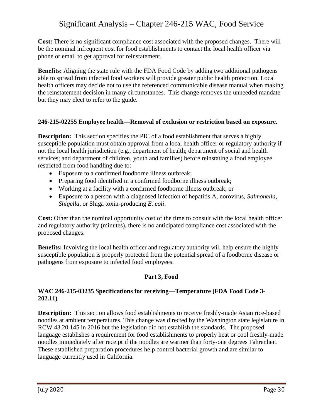**Cost:** There is no significant compliance cost associated with the proposed changes. There will be the nominal infrequent cost for food establishments to contact the local health officer via phone or email to get approval for reinstatement.

**Benefits:** Aligning the state rule with the FDA Food Code by adding two additional pathogens able to spread from infected food workers will provide greater public health protection. Local health officers may decide not to use the referenced communicable disease manual when making the reinstatement decision in many circumstances. This change removes the unneeded mandate but they may elect to refer to the guide.

#### **246-215-02255 Employee health—Removal of exclusion or restriction based on exposure.**

**Description:** This section specifies the PIC of a food establishment that serves a highly susceptible population must obtain approval from a local health officer or regulatory authority if not the local health jurisdiction (e.g., department of health; department of social and health services; and department of children, youth and families) before reinstating a food employee restricted from food handling due to:

- Exposure to a confirmed foodborne illness outbreak;
- Preparing food identified in a confirmed foodborne illness outbreak;
- Working at a facility with a confirmed foodborne illness outbreak; or
- Exposure to a person with a diagnosed infection of hepatitis A, norovirus, *Salmonella*, *Shigella*, or Shiga toxin-producing *E. coli*.

**Cost:** Other than the nominal opportunity cost of the time to consult with the local health officer and regulatory authority (minutes), there is no anticipated compliance cost associated with the proposed changes.

**Benefits:** Involving the local health officer and regulatory authority will help ensure the highly susceptible population is properly protected from the potential spread of a foodborne disease or pathogens from exposure to infected food employees.

### **Part 3, Food**

#### **WAC 246-215-03235 Specifications for receiving—Temperature (FDA Food Code 3- 202.11)**

**Description:** This section allows food establishments to receive freshly-made Asian rice-based noodles at ambient temperatures. This change was directed by the Washington state legislature in RCW 43.20.145 in 2016 but the legislation did not establish the standards. The proposed language establishes a requirement for food establishments to properly heat or cool freshly-made noodles immediately after receipt if the noodles are warmer than forty-one degrees Fahrenheit. These established preparation procedures help control bacterial growth and are similar to language currently used in California.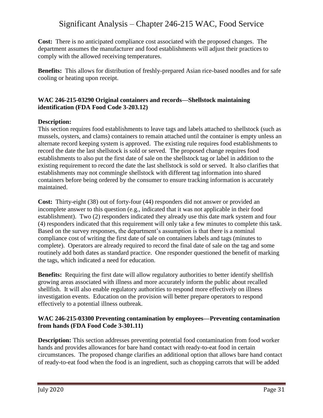**Cost:** There is no anticipated compliance cost associated with the proposed changes. The department assumes the manufacturer and food establishments will adjust their practices to comply with the allowed receiving temperatures.

**Benefits:** This allows for distribution of freshly-prepared Asian rice-based noodles and for safe cooling or heating upon receipt.

#### **WAC 246-215-03290 Original containers and records—Shellstock maintaining identification (FDA Food Code 3-203.12)**

#### **Description:**

This section requires food establishments to leave tags and labels attached to shellstock (such as mussels, oysters, and clams) containers to remain attached until the container is empty unless an alternate record keeping system is approved. The existing rule requires food establishments to record the date the last shellstock is sold or served. The proposed change requires food establishments to also put the first date of sale on the shellstock tag or label in addition to the existing requirement to record the date the last shellstock is sold or served. It also clarifies that establishments may not commingle shellstock with different tag information into shared containers before being ordered by the consumer to ensure tracking information is accurately maintained.

**Cost:** Thirty-eight (38) out of forty-four (44) responders did not answer or provided an incomplete answer to this question (e.g., indicated that it was not applicable in their food establishment). Two (2) responders indicated they already use this date mark system and four (4) responders indicated that this requirement will only take a few minutes to complete this task. Based on the survey responses, the department's assumption is that there is a nominal compliance cost of writing the first date of sale on containers labels and tags (minutes to complete). Operators are already required to record the final date of sale on the tag and some routinely add both dates as standard practice. One responder questioned the benefit of marking the tags, which indicated a need for education.

**Benefits:** Requiring the first date will allow regulatory authorities to better identify shellfish growing areas associated with illness and more accurately inform the public about recalled shellfish. It will also enable regulatory authorities to respond more effectively on illness investigation events. Education on the provision will better prepare operators to respond effectively to a potential illness outbreak.

#### **WAC 246-215-03300 Preventing contamination by employees—Preventing contamination from hands (FDA Food Code 3-301.11)**

**Description:** This section addresses preventing potential food contamination from food worker hands and provides allowances for bare hand contact with ready-to-eat food in certain circumstances. The proposed change clarifies an additional option that allows bare hand contact of ready-to-eat food when the food is an ingredient, such as chopping carrots that will be added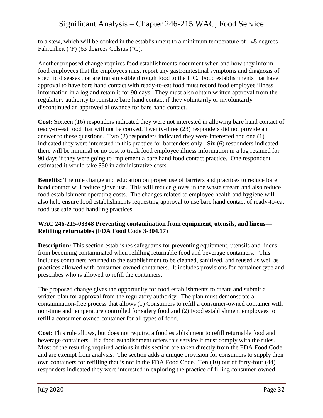to a stew, which will be cooked in the establishment to a minimum temperature of 145 degrees Fahrenheit (°F) (63 degrees Celsius (°C).

Another proposed change requires food establishments document when and how they inform food employees that the employees must report any gastrointestinal symptoms and diagnosis of specific diseases that are transmissible through food to the PIC. Food establishments that have approval to have bare hand contact with ready-to-eat food must record food employee illness information in a log and retain it for 90 days. They must also obtain written approval from the regulatory authority to reinstate bare hand contact if they voluntarily or involuntarily discontinued an approved allowance for bare hand contact.

**Cost:** Sixteen (16) responders indicated they were not interested in allowing bare hand contact of ready-to-eat food that will not be cooked. Twenty-three (23) responders did not provide an answer to these questions. Two (2) responders indicated they were interested and one (1) indicated they were interested in this practice for bartenders only. Six (6) responders indicated there will be minimal or no cost to track food employee illness information in a log retained for 90 days if they were going to implement a bare hand food contact practice. One respondent estimated it would take \$50 in administrative costs.

**Benefits:** The rule change and education on proper use of barriers and practices to reduce bare hand contact will reduce glove use. This will reduce gloves in the waste stream and also reduce food establishment operating costs. The changes related to employee health and hygiene will also help ensure food establishments requesting approval to use bare hand contact of ready-to-eat food use safe food handling practices.

#### **WAC 246-215-03348 Preventing contamination from equipment, utensils, and linens— Refilling returnables (FDA Food Code 3-304.17)**

**Description:** This section establishes safeguards for preventing equipment, utensils and linens from becoming contaminated when refilling returnable food and beverage containers. This includes containers returned to the establishment to be cleaned, sanitized, and reused as well as practices allowed with consumer-owned containers. It includes provisions for container type and prescribes who is allowed to refill the containers.

The proposed change gives the opportunity for food establishments to create and submit a written plan for approval from the regulatory authority. The plan must demonstrate a contamination-free process that allows (1) Consumers to refill a consumer-owned container with non-time and temperature controlled for safety food and (2) Food establishment employees to refill a consumer-owned container for all types of food.

**Cost:** This rule allows, but does not require, a food establishment to refill returnable food and beverage containers. If a food establishment offers this service it must comply with the rules. Most of the resulting required actions in this section are taken directly from the FDA Food Code and are exempt from analysis. The section adds a unique provision for consumers to supply their own containers for refilling that is not in the FDA Food Code. Ten (10) out of forty-four (44) responders indicated they were interested in exploring the practice of filling consumer-owned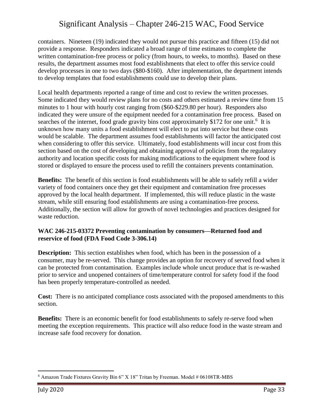containers. Nineteen (19) indicated they would not pursue this practice and fifteen (15) did not provide a response. Responders indicated a broad range of time estimates to complete the written contamination-free process or policy (from hours, to weeks, to months). Based on these results, the department assumes most food establishments that elect to offer this service could develop processes in one to two days (\$80-\$160). After implementation, the department intends to develop templates that food establishments could use to develop their plans.

Local health departments reported a range of time and cost to review the written processes. Some indicated they would review plans for no costs and others estimated a review time from 15 minutes to 1 hour with hourly cost ranging from (\$60-\$229.80 per hour). Responders also indicated they were unsure of the equipment needed for a contamination free process. Based on searches of the internet, food grade gravity bins cost approximately \$172 for one unit.<sup>6</sup> It is unknown how many units a food establishment will elect to put into service but these costs would be scalable. The department assumes food establishments will factor the anticipated cost when considering to offer this service. Ultimately, food establishments will incur cost from this section based on the cost of developing and obtaining approval of policies from the regulatory authority and location specific costs for making modifications to the equipment where food is stored or displayed to ensure the process used to refill the containers prevents contamination.

**Benefits:** The benefit of this section is food establishments will be able to safely refill a wider variety of food containers once they get their equipment and contamination free processes approved by the local health department. If implemented, this will reduce plastic in the waste stream, while still ensuring food establishments are using a contamination-free process. Additionally, the section will allow for growth of novel technologies and practices designed for waste reduction.

#### **WAC 246-215-03372 Preventing contamination by consumers—Returned food and reservice of food (FDA Food Code 3-306.14)**

**Description:** This section establishes when food, which has been in the possession of a consumer, may be re-served. This change provides an option for recovery of served food when it can be protected from contamination. Examples include whole uncut produce that is re-washed prior to service and unopened containers of time/temperature control for safety food if the food has been properly temperature-controlled as needed.

**Cost:** There is no anticipated compliance costs associated with the proposed amendments to this section.

**Benefits:** There is an economic benefit for food establishments to safely re-serve food when meeting the exception requirements. This practice will also reduce food in the waste stream and increase safe food recovery for donation.

 $\overline{a}$  $6$  Amazon Trade Fixtures Gravity Bin 6" X 18" Tritan by Freeman. Model # 06108TR-MBS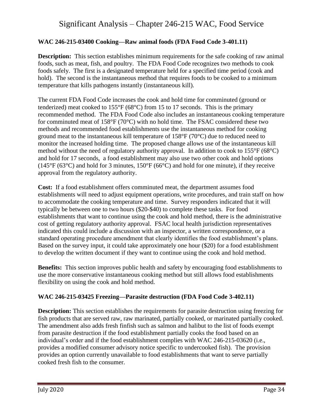#### **WAC 246-215-03400 Cooking—Raw animal foods (FDA Food Code 3-401.11)**

**Description:** This section establishes minimum requirements for the safe cooking of raw animal foods, such as meat, fish, and poultry. The FDA Food Code recognizes two methods to cook foods safely. The first is a designated temperature held for a specified time period (cook and hold). The second is the instantaneous method that requires foods to be cooked to a minimum temperature that kills pathogens instantly (instantaneous kill).

The current FDA Food Code increases the cook and hold time for comminuted (ground or tenderized) meat cooked to 155°F (68°C) from 15 to 17 seconds. This is the primary recommended method. The FDA Food Code also includes an instantaneous cooking temperature for comminuted meat of 158°F (70°C) with no hold time. The FSAC considered these two methods and recommended food establishments use the instantaneous method for cooking ground meat to the instantaneous kill temperature of 158°F (70°C) due to reduced need to monitor the increased holding time. The proposed change allows use of the instantaneous kill method without the need of regulatory authority approval. In addition to cook to 155°F (68°C) and hold for 17 seconds, a food establishment may also use two other cook and hold options (145°F (63°C) and hold for 3 minutes, 150°F (66°C) and hold for one minute), if they receive approval from the regulatory authority.

**Cost:** If a food establishment offers comminuted meat, the department assumes food establishments will need to adjust equipment operations, write procedures, and train staff on how to accommodate the cooking temperature and time. Survey responders indicated that it will typically be between one to two hours (\$20-\$40) to complete these tasks. For food establishments that want to continue using the cook and hold method, there is the administrative cost of getting regulatory authority approval. FSAC local health jurisdiction representatives indicated this could include a discussion with an inspector, a written correspondence, or a standard operating procedure amendment that clearly identifies the food establishment's plans. Based on the survey input, it could take approximately one hour (\$20) for a food establishment to develop the written document if they want to continue using the cook and hold method.

**Benefits:** This section improves public health and safety by encouraging food establishments to use the more conservative instantaneous cooking method but still allows food establishments flexibility on using the cook and hold method.

#### **WAC 246-215-03425 Freezing—Parasite destruction (FDA Food Code 3-402.11)**

**Description:** This section establishes the requirements for parasite destruction using freezing for fish products that are served raw, raw marinated, partially cooked, or marinated partially cooked. The amendment also adds fresh finfish such as salmon and halibut to the list of foods exempt from parasite destruction if the food establishment partially cooks the food based on an individual's order and if the food establishment complies with WAC 246-215-03620 (i.e., provides a modified consumer advisory notice specific to undercooked fish). The provision provides an option currently unavailable to food establishments that want to serve partially cooked fresh fish to the consumer.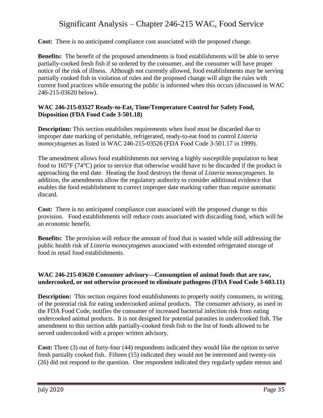**Cost:** There is no anticipated compliance cost associated with the proposed change.

**Benefits:** The benefit of the proposed amendments is food establishments will be able to serve partially-cooked fresh fish if so ordered by the consumer, and the consumer will have proper notice of the risk of illness. Although not currently allowed, food establishments may be serving partially cooked fish in violation of rules and the proposed change will align the rules with current food practices while ensuring the public is informed when this occurs (discussed in WAC 246-215-03620 below).

#### **WAC 246-215-03527 Ready-to-Eat, Time/Temperature Control for Safety Food, Disposition (FDA Food Code 3-501.18)**

**Description:** This section establishes requirements when food must be discarded due to improper date marking of perishable, refrigerated, ready-to-eat food to control *Listeria monocytogenes* as listed in WAC 246-215-03526 (FDA Food Code 3-501.17 in 1999).

The amendment allows food establishments not serving a highly susceptible population to heat food to 165°F (74°C) prior to service that otherwise would have to be discarded if the product is approaching the end date. Heating the food destroys the threat of *Listeria monocytogenes.* In addition, the amendments allow the regulatory authority to consider additional evidence that enables the food establishment to correct improper date marking rather than require automatic discard*.*

**Cost:** There is no anticipated compliance cost associated with the proposed change to this provision. Food establishments will reduce costs associated with discarding food, which will be an economic benefit.

**Benefits:** The provision will reduce the amount of food that is wasted while still addressing the public health risk of *Listeria monocytogenes* associated with extended refrigerated storage of food in retail food establishments.

#### **WAC 246-215-03620 Consumer advisory—Consumption of animal foods that are raw, undercooked, or not otherwise processed to eliminate pathogens (FDA Food Code 3-603.11)**

**Description:** This section requires food establishments to properly notify consumers, in writing, of the potential risk for eating undercooked animal products. The consumer advisory, as used in the FDA Food Code, notifies the consumer of increased bacterial infection risk from eating undercooked animal products. It is not designed for potential parasites in undercooked fish. The amendment to this section adds partially-cooked fresh fish to the list of foods allowed to be served undercooked with a proper written advisory.

**Cost:** Three (3) out of forty-four (44) respondents indicated they would like the option to serve fresh partially cooked fish. Fifteen (15) indicated they would not be interested and twenty-six (26) did not respond to the question. One respondent indicated they regularly update menus and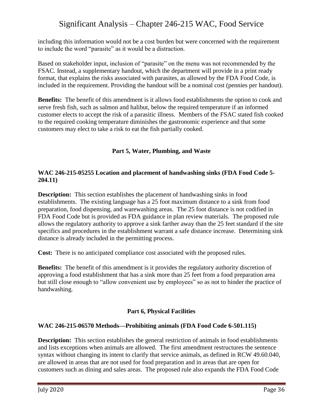including this information would not be a cost burden but were concerned with the requirement to include the word "parasite" as it would be a distraction.

Based on stakeholder input, inclusion of "parasite" on the menu was not recommended by the FSAC. Instead, a supplementary handout, which the department will provide in a print ready format, that explains the risks associated with parasites, as allowed by the FDA Food Code, is included in the requirement. Providing the handout will be a nominal cost (pennies per handout).

**Benefits:** The benefit of this amendment is it allows food establishments the option to cook and serve fresh fish, such as salmon and halibut, below the required temperature if an informed customer elects to accept the risk of a parasitic illness. Members of the FSAC stated fish cooked to the required cooking temperature diminishes the gastronomic experience and that some customers may elect to take a risk to eat the fish partially cooked.

### **Part 5, Water, Plumbing, and Waste**

#### **WAC 246-215-05255 Location and placement of handwashing sinks (FDA Food Code 5- 204.11)**

**Description:** This section establishes the placement of handwashing sinks in food establishments. The existing language has a 25 foot maximum distance to a sink from food preparation, food dispensing, and warewashing areas. The 25 foot distance is not codified in FDA Food Code but is provided as FDA guidance in plan review materials. The proposed rule allows the regulatory authority to approve a sink farther away than the 25 feet standard if the site specifics and procedures in the establishment warrant a safe distance increase. Determining sink distance is already included in the permitting process.

**Cost:** There is no anticipated compliance cost associated with the proposed rules.

**Benefits:** The benefit of this amendment is it provides the regulatory authority discretion of approving a food establishment that has a sink more than 25 feet from a food preparation area but still close enough to "allow convenient use by employees" so as not to hinder the practice of handwashing.

#### **Part 6, Physical Facilities**

#### **WAC 246-215-06570 Methods—Prohibiting animals (FDA Food Code 6-501.115)**

**Description:** This section establishes the general restriction of animals in food establishments and lists exceptions when animals are allowed. The first amendment restructures the sentence syntax without changing its intent to clarify that service animals, as defined in RCW 49.60.040, are allowed in areas that are not used for food preparation and in areas that are open for customers such as dining and sales areas. The proposed rule also expands the FDA Food Code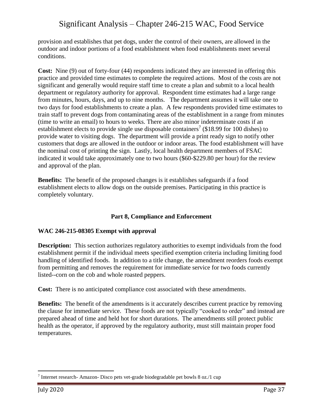provision and establishes that pet dogs, under the control of their owners, are allowed in the outdoor and indoor portions of a food establishment when food establishments meet several conditions.

**Cost:** Nine (9) out of forty-four (44) respondents indicated they are interested in offering this practice and provided time estimates to complete the required actions. Most of the costs are not significant and generally would require staff time to create a plan and submit to a local health department or regulatory authority for approval. Respondent time estimates had a large range from minutes, hours, days, and up to nine months. The department assumes it will take one to two days for food establishments to create a plan. A few respondents provided time estimates to train staff to prevent dogs from contaminating areas of the establishment in a range from minutes (time to write an email) to hours to weeks. There are also minor indeterminate costs if an establishment elects to provide single use disposable containers<sup>7</sup> (\$18.99 for 100 dishes) to provide water to visiting dogs. The department will provide a print ready sign to notify other customers that dogs are allowed in the outdoor or indoor areas. The food establishment will have the nominal cost of printing the sign. Lastly, local health department members of FSAC indicated it would take approximately one to two hours (\$60-\$229.80 per hour) for the review and approval of the plan.

**Benefits:** The benefit of the proposed changes is it establishes safeguards if a food establishment elects to allow dogs on the outside premises. Participating in this practice is completely voluntary.

### **Part 8, Compliance and Enforcement**

#### **WAC 246-215-08305 Exempt with approval**

**Description:** This section authorizes regulatory authorities to exempt individuals from the food establishment permit if the individual meets specified exemption criteria including limiting food handling of identified foods. In addition to a title change, the amendment reorders foods exempt from permitting and removes the requirement for immediate service for two foods currently listed--corn on the cob and whole roasted peppers.

**Cost:** There is no anticipated compliance cost associated with these amendments.

**Benefits:** The benefit of the amendments is it accurately describes current practice by removing the clause for immediate service. These foods are not typically "cooked to order" and instead are prepared ahead of time and held hot for short durations. The amendments still protect public health as the operator, if approved by the regulatory authority, must still maintain proper food temperatures.

 $\overline{a}$ 

 $7$  Internet research- Amazon- Disco pets vet-grade biodegradable pet bowls 8 oz./1 cup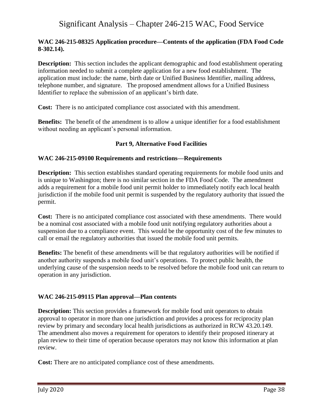#### **WAC 246-215-08325 Application procedure—Contents of the application (FDA Food Code 8-302.14).**

**Description:** This section includes the applicant demographic and food establishment operating information needed to submit a complete application for a new food establishment. The application must include: the name, birth date or Unified Business Identifier, mailing address, telephone number, and signature. The proposed amendment allows for a Unified Business Identifier to replace the submission of an applicant's birth date.

**Cost:** There is no anticipated compliance cost associated with this amendment.

**Benefits:** The benefit of the amendment is to allow a unique identifier for a food establishment without needing an applicant's personal information.

#### **Part 9, Alternative Food Facilities**

#### **WAC 246-215-09100 Requirements and restrictions—Requirements**

**Description:** This section establishes standard operating requirements for mobile food units and is unique to Washington; there is no similar section in the FDA Food Code. The amendment adds a requirement for a mobile food unit permit holder to immediately notify each local health jurisdiction if the mobile food unit permit is suspended by the regulatory authority that issued the permit.

**Cost:** There is no anticipated compliance cost associated with these amendments. There would be a nominal cost associated with a mobile food unit notifying regulatory authorities about a suspension due to a compliance event. This would be the opportunity cost of the few minutes to call or email the regulatory authorities that issued the mobile food unit permits.

**Benefits:** The benefit of these amendments will be that regulatory authorities will be notified if another authority suspends a mobile food unit's operations. To protect public health, the underlying cause of the suspension needs to be resolved before the mobile food unit can return to operation in any jurisdiction.

#### **WAC 246-215-09115 Plan approval—Plan contents**

**Description:** This section provides a framework for mobile food unit operators to obtain approval to operator in more than one jurisdiction and provides a process for reciprocity plan review by primary and secondary local health jurisdictions as authorized in RCW 43.20.149. The amendment also moves a requirement for operators to identify their proposed itinerary at plan review to their time of operation because operators may not know this information at plan review.

**Cost:** There are no anticipated compliance cost of these amendments.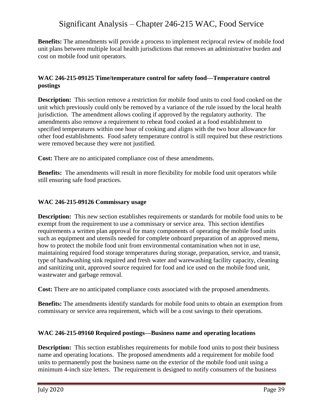**Benefits:** The amendments will provide a process to implement reciprocal review of mobile food unit plans between multiple local health jurisdictions that removes an administrative burden and cost on mobile food unit operators.

#### **WAC 246-215-09125 Time/temperature control for safety food—Temperature control postings**

**Description:** This section remove a restriction for mobile food units to cool food cooked on the unit which previously could only be removed by a variance of the rule issued by the local health jurisdiction. The amendment allows cooling if approved by the regulatory authority. The amendments also remove a requirement to reheat food cooked at a food establishment to specified temperatures within one hour of cooking and aligns with the two hour allowance for other food establishments. Food safety temperature control is still required but these restrictions were removed because they were not justified.

**Cost:** There are no anticipated compliance cost of these amendments.

**Benefits:** The amendments will result in more flexibility for mobile food unit operators while still ensuring safe food practices.

#### **WAC 246-215-09126 Commissary usage**

**Description:** This new section establishes requirements or standards for mobile food units to be exempt from the requirement to use a commissary or service area. This section identifies requirements a written plan approval for many components of operating the mobile food units such as equipment and utensils needed for complete onboard preparation of an approved menu, how to protect the mobile food unit from environmental contamination when not in use, maintaining required food storage temperatures during storage, preparation, service, and transit, type of handwashing sink required and fresh water and warewashing facility capacity, cleaning and sanitizing unit, approved source required for food and ice used on the mobile food unit, wastewater and garbage removal.

**Cost:** There are no anticipated compliance costs associated with the proposed amendments.

**Benefits:** The amendments identify standards for mobile food units to obtain an exemption from commissary or service area requirement, which will be a cost savings to their operations.

#### **WAC 246-215-09160 Required postings—Business name and operating locations**

**Description:** This section establishes requirements for mobile food units to post their business name and operating locations. The proposed amendments add a requirement for mobile food units to permanently post the business name on the exterior of the mobile food unit using a minimum 4-inch size letters. The requirement is designed to notify consumers of the business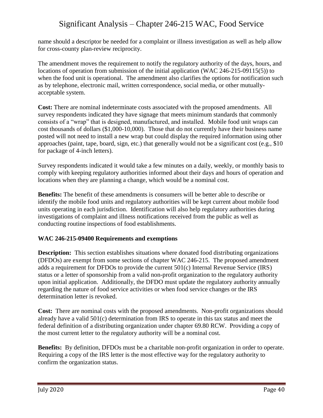name should a descriptor be needed for a complaint or illness investigation as well as help allow for cross-county plan-review reciprocity.

The amendment moves the requirement to notify the regulatory authority of the days, hours, and locations of operation from submission of the initial application (WAC 246-215-09115(5)) to when the food unit is operational. The amendment also clarifies the options for notification such as by telephone, electronic mail, written correspondence, social media, or other mutuallyacceptable system.

**Cost:** There are nominal indeterminate costs associated with the proposed amendments. All survey respondents indicated they have signage that meets minimum standards that commonly consists of a "wrap" that is designed, manufactured, and installed. Mobile food unit wraps can cost thousands of dollars (\$1,000-10,000). Those that do not currently have their business name posted will not need to install a new wrap but could display the required information using other approaches (paint, tape, board, sign, etc.) that generally would not be a significant cost (e.g., \$10 for package of 4-inch letters).

Survey respondents indicated it would take a few minutes on a daily, weekly, or monthly basis to comply with keeping regulatory authorities informed about their days and hours of operation and locations when they are planning a change, which would be a nominal cost.

**Benefits:** The benefit of these amendments is consumers will be better able to describe or identify the mobile food units and regulatory authorities will be kept current about mobile food units operating in each jurisdiction. Identification will also help regulatory authorities during investigations of complaint and illness notifications received from the public as well as conducting routine inspections of food establishments.

### **WAC 246-215-09400 Requirements and exemptions**

**Description:** This section establishes situations where donated food distributing organizations (DFDOs) are exempt from some sections of chapter WAC 246-215. The proposed amendment adds a requirement for DFDOs to provide the current 501(c) Internal Revenue Service (IRS) status or a letter of sponsorship from a valid non-profit organization to the regulatory authority upon initial application. Additionally, the DFDO must update the regulatory authority annually regarding the nature of food service activities or when food service changes or the IRS determination letter is revoked.

Cost: There are nominal costs with the proposed amendments. Non-profit organizations should already have a valid 501(c) determination from IRS to operate in this tax status and meet the federal definition of a distributing organization under chapter 69.80 RCW. Providing a copy of the most current letter to the regulatory authority will be a nominal cost.

**Benefits:** By definition, DFDOs must be a charitable non-profit organization in order to operate. Requiring a copy of the IRS letter is the most effective way for the regulatory authority to confirm the organization status.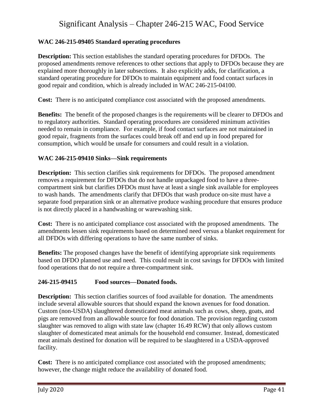#### **WAC 246-215-09405 Standard operating procedures**

**Description:** This section establishes the standard operating procedures for DFDOs. The proposed amendments remove references to other sections that apply to DFDOs because they are explained more thoroughly in later subsections. It also explicitly adds, for clarification, a standard operating procedure for DFDOs to maintain equipment and food contact surfaces in good repair and condition, which is already included in WAC 246-215-04100.

**Cost:** There is no anticipated compliance cost associated with the proposed amendments.

**Benefits:** The benefit of the proposed changes is the requirements will be clearer to DFDOs and to regulatory authorities. Standard operating procedures are considered minimum activities needed to remain in compliance. For example, if food contact surfaces are not maintained in good repair, fragments from the surfaces could break off and end up in food prepared for consumption, which would be unsafe for consumers and could result in a violation.

#### **WAC 246-215-09410 Sinks—Sink requirements**

**Description:** This section clarifies sink requirements for DFDOs. The proposed amendment removes a requirement for DFDOs that do not handle unpackaged food to have a threecompartment sink but clarifies DFDOs must have at least a single sink available for employees to wash hands. The amendments clarify that DFDOs that wash produce on-site must have a separate food preparation sink or an alternative produce washing procedure that ensures produce is not directly placed in a handwashing or warewashing sink.

**Cost:** There is no anticipated compliance cost associated with the proposed amendments. The amendments lessen sink requirements based on determined need versus a blanket requirement for all DFDOs with differing operations to have the same number of sinks.

**Benefits:** The proposed changes have the benefit of identifying appropriate sink requirements based on DFDO planned use and need. This could result in cost savings for DFDOs with limited food operations that do not require a three-compartment sink.

#### **246-215-09415 Food sources—Donated foods.**

**Description:** This section clarifies sources of food available for donation. The amendments include several allowable sources that should expand the known avenues for food donation. Custom (non-USDA) slaughtered domesticated meat animals such as cows, sheep, goats, and pigs are removed from an allowable source for food donation. The provision regarding custom slaughter was removed to align with state law (chapter 16.49 RCW) that only allows custom slaughter of domesticated meat animals for the household end consumer. Instead, domesticated meat animals destined for donation will be required to be slaughtered in a USDA-approved facility.

**Cost:** There is no anticipated compliance cost associated with the proposed amendments; however, the change might reduce the availability of donated food.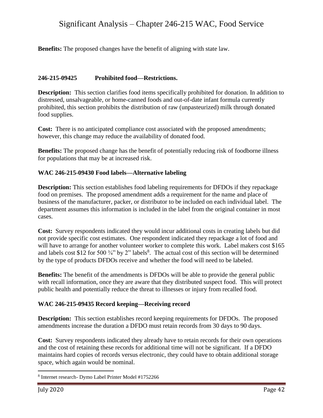**Benefits:** The proposed changes have the benefit of aligning with state law.

#### **246-215-09425 Prohibited food—Restrictions.**

**Description:** This section clarifies food items specifically prohibited for donation. In addition to distressed, unsalvageable, or home-canned foods and out-of-date infant formula currently prohibited, this section prohibits the distribution of raw (unpasteurized) milk through donated food supplies.

**Cost:** There is no anticipated compliance cost associated with the proposed amendments; however, this change may reduce the availability of donated food.

**Benefits:** The proposed change has the benefit of potentially reducing risk of foodborne illness for populations that may be at increased risk.

#### **WAC 246-215-09430 Food labels—Alternative labeling**

**Description:** This section establishes food labeling requirements for DFDOs if they repackage food on premises. The proposed amendment adds a requirement for the name and place of business of the manufacturer, packer, or distributor to be included on each individual label. The department assumes this information is included in the label from the original container in most cases.

**Cost:** Survey respondents indicated they would incur additional costs in creating labels but did not provide specific cost estimates. One respondent indicated they repackage a lot of food and will have to arrange for another volunteer worker to complete this work. Label makers cost \$165 and labels cost \$12 for 500  $\frac{3}{4}$ " by 2" labels<sup>8</sup>. The actual cost of this section will be determined by the type of products DFDOs receive and whether the food will need to be labeled.

**Benefits:** The benefit of the amendments is DFDOs will be able to provide the general public with recall information, once they are aware that they distributed suspect food. This will protect public health and potentially reduce the threat to illnesses or injury from recalled food.

#### **WAC 246-215-09435 Record keeping—Receiving record**

**Description:** This section establishes record keeping requirements for DFDOs. The proposed amendments increase the duration a DFDO must retain records from 30 days to 90 days.

**Cost:** Survey respondents indicated they already have to retain records for their own operations and the cost of retaining these records for additional time will not be significant. If a DFDO maintains hard copies of records versus electronic, they could have to obtain additional storage space, which again would be nominal.

 $\overline{a}$ 

<sup>8</sup> Internet research- Dymo Label Printer Model #1752266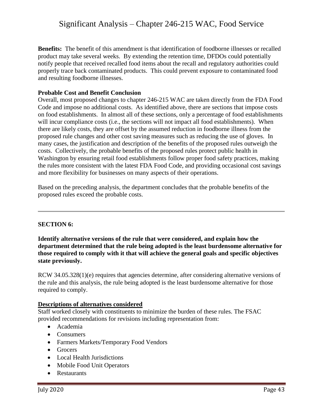**Benefits:** The benefit of this amendment is that identification of foodborne illnesses or recalled product may take several weeks. By extending the retention time, DFDOs could potentially notify people that received recalled food items about the recall and regulatory authorities could properly trace back contaminated products. This could prevent exposure to contaminated food and resulting foodborne illnesses.

#### **Probable Cost and Benefit Conclusion**

Overall, most proposed changes to chapter 246-215 WAC are taken directly from the FDA Food Code and impose no additional costs. As identified above, there are sections that impose costs on food establishments. In almost all of these sections, only a percentage of food establishments will incur compliance costs (i.e., the sections will not impact all food establishments). When there are likely costs, they are offset by the assumed reduction in foodborne illness from the proposed rule changes and other cost saving measures such as reducing the use of gloves. In many cases, the justification and description of the benefits of the proposed rules outweigh the costs. Collectively, the probable benefits of the proposed rules protect public health in Washington by ensuring retail food establishments follow proper food safety practices, making the rules more consistent with the latest FDA Food Code, and providing occasional cost savings and more flexibility for businesses on many aspects of their operations.

Based on the preceding analysis, the department concludes that the probable benefits of the proposed rules exceed the probable costs.

#### **SECTION 6:**

**Identify alternative versions of the rule that were considered, and explain how the department determined that the rule being adopted is the least burdensome alternative for those required to comply with it that will achieve the general goals and specific objectives state previously.**

RCW 34.05.328(1)(e) requires that agencies determine, after considering alternative versions of the rule and this analysis, the rule being adopted is the least burdensome alternative for those required to comply.

#### **Descriptions of alternatives considered**

Staff worked closely with constituents to minimize the burden of these rules. The FSAC provided recommendations for revisions including representation from:

- Academia
- Consumers
- Farmers Markets/Temporary Food Vendors
- Grocers
- Local Health Jurisdictions
- Mobile Food Unit Operators
- Restaurants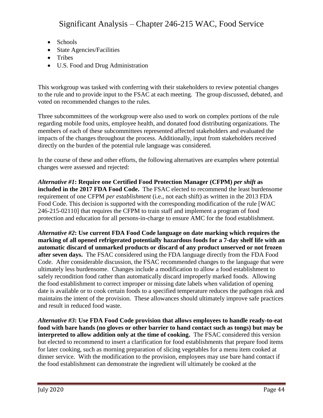- Schools
- State Agencies/Facilities
- Tribes
- U.S. Food and Drug Administration

This workgroup was tasked with conferring with their stakeholders to review potential changes to the rule and to provide input to the FSAC at each meeting. The group discussed, debated, and voted on recommended changes to the rules.

Three subcommittees of the workgroup were also used to work on complex portions of the rule regarding mobile food units, employee health, and donated food distributing organizations. The members of each of these subcommittees represented affected stakeholders and evaluated the impacts of the changes throughout the process. Additionally, input from stakeholders received directly on the burden of the potential rule language was considered.

In the course of these and other efforts, the following alternatives are examples where potential changes were assessed and rejected:

*Alternative #1***: Require one Certified Food Protection Manager (CFPM)** *per shift* **as included in the 2017 FDA Food Code.** The FSAC elected to recommend the least burdensome requirement of one CFPM *per establishment* (i.e., not each shift) as written in the 2013 FDA Food Code. This decision is supported with the corresponding modification of the rule [WAC 246-215-02110] that requires the CFPM to train staff and implement a program of food protection and education for all persons-in-charge to ensure AMC for the food establishment.

*Alternative #2***: Use current FDA Food Code language on date marking which requires the marking of all opened refrigerated potentially hazardous foods for a 7-day shelf life with an automatic discard of unmarked products or discard of any product unserved or not frozen after seven days.** The FSAC considered using the FDA language directly from the FDA Food Code. After considerable discussion, the FSAC recommended changes to the language that were ultimately less burdensome. Changes include a modification to allow a food establishment to safely recondition food rather than automatically discard improperly marked foods. Allowing the food establishment to correct improper or missing date labels when validation of opening date is available or to cook certain foods to a specified temperature reduces the pathogen risk and maintains the intent of the provision. These allowances should ultimately improve safe practices and result in reduced food waste.

*Alternative #3***: Use FDA Food Code provision that allows employees to handle ready-to-eat food with bare hands (no gloves or other barrier to hand contact such as tongs) but may be interpreted to allow addition only at the time of cooking.** The FSAC considered this version but elected to recommend to insert a clarification for food establishments that prepare food items for later cooking, such as morning preparation of slicing vegetables for a menu item cooked at dinner service. With the modification to the provision, employees may use bare hand contact if the food establishment can demonstrate the ingredient will ultimately be cooked at the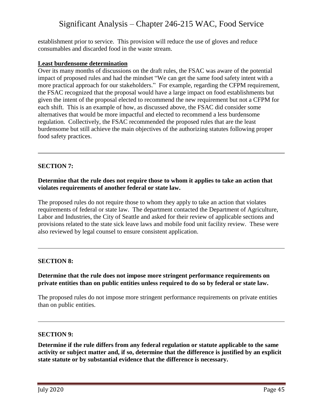establishment prior to service. This provision will reduce the use of gloves and reduce consumables and discarded food in the waste stream.

#### **Least burdensome determination**

Over its many months of discussions on the draft rules, the FSAC was aware of the potential impact of proposed rules and had the mindset "We can get the same food safety intent with a more practical approach for our stakeholders." For example, regarding the CFPM requirement, the FSAC recognized that the proposal would have a large impact on food establishments but given the intent of the proposal elected to recommend the new requirement but not a CFPM for each shift. This is an example of how, as discussed above, the FSAC did consider some alternatives that would be more impactful and elected to recommend a less burdensome regulation. Collectively, the FSAC recommended the proposed rules that are the least burdensome but still achieve the main objectives of the authorizing statutes following proper food safety practices.

#### **SECTION 7:**

#### **Determine that the rule does not require those to whom it applies to take an action that violates requirements of another federal or state law.**

The proposed rules do not require those to whom they apply to take an action that violates requirements of federal or state law. The department contacted the Department of Agriculture, Labor and Industries, the City of Seattle and asked for their review of applicable sections and provisions related to the state sick leave laws and mobile food unit facility review. These were also reviewed by legal counsel to ensure consistent application.

#### **SECTION 8:**

#### **Determine that the rule does not impose more stringent performance requirements on private entities than on public entities unless required to do so by federal or state law.**

The proposed rules do not impose more stringent performance requirements on private entities than on public entities.

#### **SECTION 9:**

**Determine if the rule differs from any federal regulation or statute applicable to the same activity or subject matter and, if so, determine that the difference is justified by an explicit state statute or by substantial evidence that the difference is necessary.**